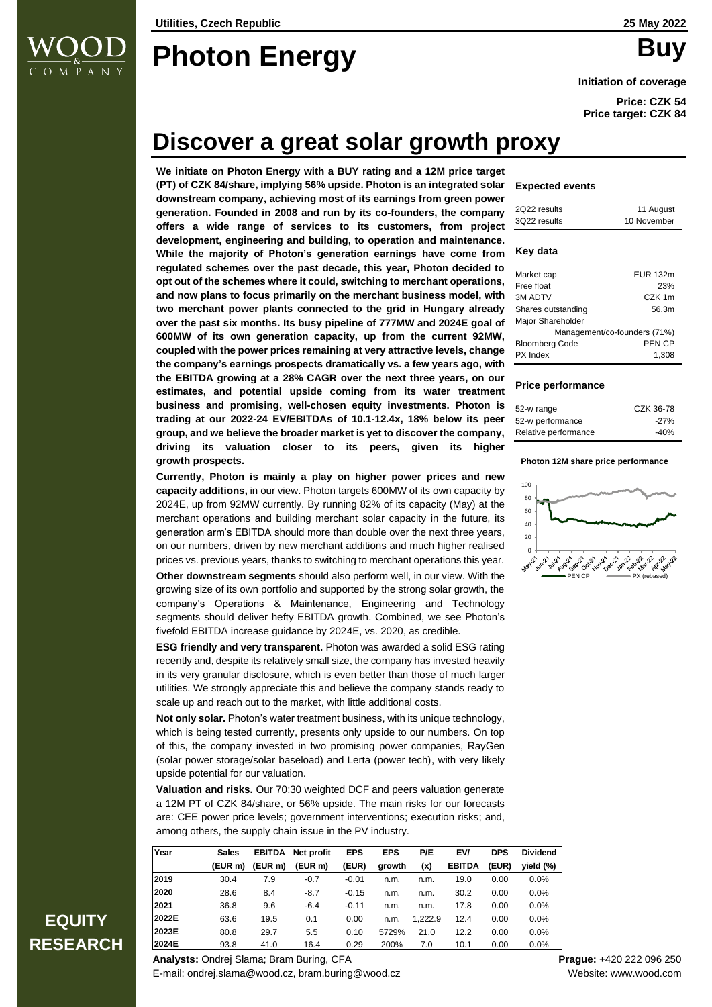**EQUITY RESEARCH**

# **Photon Energy**

**Initiation of coverage**

**Price: CZK 54 Price target: CZK 84**

# **Discover a great solar growth proxy**

**We initiate on Photon Energy with a BUY rating and a 12M price target (PT) of CZK 84/share, implying 56% upside. Photon is an integrated solar downstream company, achieving most of its earnings from green power generation. Founded in 2008 and run by its co-founders, the company offers a wide range of services to its customers, from project development, engineering and building, to operation and maintenance. While the majority of Photon's generation earnings have come from regulated schemes over the past decade, this year, Photon decided to opt out of the schemes where it could, switching to merchant operations, and now plans to focus primarily on the merchant business model, with two merchant power plants connected to the grid in Hungary already over the past six months. Its busy pipeline of 777MW and 2024E goal of 600MW of its own generation capacity, up from the current 92MW, coupled with the power prices remaining at very attractive levels, change the company's earnings prospects dramatically vs. a few years ago, with the EBITDA growing at a 28% CAGR over the next three years, on our estimates, and potential upside coming from its water treatment business and promising, well-chosen equity investments. Photon is trading at our 2022-24 EV/EBITDAs of 10.1-12.4x, 18% below its peer group, and we believe the broader market is yet to discover the company, driving its valuation closer to its peers, given its higher growth prospects.**

**Currently, Photon is mainly a play on higher power prices and new capacity additions,** in our view. Photon targets 600MW of its own capacity by 2024E, up from 92MW currently. By running 82% of its capacity (May) at the merchant operations and building merchant solar capacity in the future, its generation arm's EBITDA should more than double over the next three years, on our numbers, driven by new merchant additions and much higher realised prices vs. previous years, thanks to switching to merchant operations this year.

**Other downstream segments** should also perform well, in our view. With the growing size of its own portfolio and supported by the strong solar growth, the company's Operations & Maintenance, Engineering and Technology segments should deliver hefty EBITDA growth. Combined, we see Photon's fivefold EBITDA increase guidance by 2024E, vs. 2020, as credible.

**ESG friendly and very transparent.** Photon was awarded a solid ESG rating recently and, despite its relatively small size, the company has invested heavily in its very granular disclosure, which is even better than those of much larger utilities. We strongly appreciate this and believe the company stands ready to scale up and reach out to the market, with little additional costs.

**Not only solar.** Photon's water treatment business, with its unique technology, which is being tested currently, presents only upside to our numbers. On top of this, the company invested in two promising power companies, RayGen (solar power storage/solar baseload) and Lerta (power tech), with very likely upside potential for our valuation.

**Valuation and risks.** Our 70:30 weighted DCF and peers valuation generate a 12M PT of CZK 84/share, or 56% upside. The main risks for our forecasts are: CEE power price levels; government interventions; execution risks; and, among others, the supply chain issue in the PV industry.

| Year  | <b>Sales</b> |         | <b>EBITDA</b> Net profit | <b>EPS</b> | <b>EPS</b> | P/E     | EV/           | <b>DPS</b> | <b>Dividend</b> |
|-------|--------------|---------|--------------------------|------------|------------|---------|---------------|------------|-----------------|
|       | (EUR m)      | (EUR m) | (EUR m)                  | (EUR)      | growth     | (x)     | <b>EBITDA</b> | (EUR)      | vield (%)       |
| 2019  | 30.4         | 7.9     | $-0.7$                   | $-0.01$    | n.m.       | n.m.    | 19.0          | 0.00       | 0.0%            |
| 2020  | 28.6         | 8.4     | $-8.7$                   | $-0.15$    | n.m.       | n.m.    | 30.2          | 0.00       | 0.0%            |
| 2021  | 36.8         | 9.6     | $-6.4$                   | $-0.11$    | n.m.       | n.m.    | 17.8          | 0.00       | 0.0%            |
| 2022E | 63.6         | 19.5    | 0.1                      | 0.00       | n.m.       | 1.222.9 | 12.4          | 0.00       | 0.0%            |
| 2023E | 80.8         | 29.7    | 5.5                      | 0.10       | 5729%      | 21.0    | 12.2          | 0.00       | 0.0%            |
| 2024E | 93.8         | 41.0    | 16.4                     | 0.29       | 200%       | 7.0     | 10.1          | 0.00       | 0.0%            |

## **Expected events**

| 2022 results | 11 August   |
|--------------|-------------|
| 3022 results | 10 November |
|              |             |

# **Key data**

| EUR 132m                     |
|------------------------------|
| 23%                          |
| $CZK$ 1m                     |
| 56.3m                        |
|                              |
| Management/co-founders (71%) |
| PEN CP                       |
| 1.308                        |
|                              |

#### **Price performance**

| 52-w range           | CZK 36-78 |
|----------------------|-----------|
| 52-w performance     | $-27%$    |
| Relative performance | $-40%$    |

#### **Photon 12M share price performance**



**Analysts:** Ondrej Slama; Bram Buring, CFA **Prague:** +420 222 096 250 E-mail: ondrej.slama@wood.cz, bram.buring@wood.cz Website: www.wood.com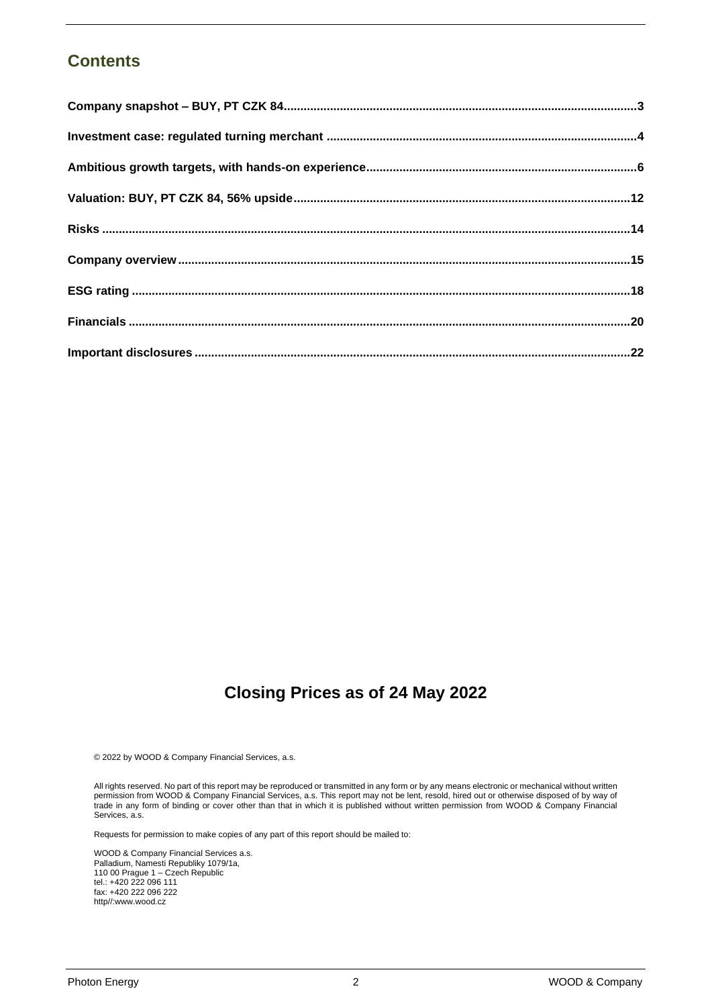# **Contents**

# **Closing Prices as of 24 May 2022**

© 2022 by WOOD & Company Financial Services, a.s.

All rights reserved. No part of this report may be reproduced or transmitted in any form or by any means electronic or mechanical without written permission from WOOD & Company Financial Services, a.s. This report may not be lent, resold, hired out or otherwise disposed of by way of trade in any form of binding or cover other than that in which it is published without written permission from WOOD & Company Financial Services, a.s.

Requests for permission to make copies of any part of this report should be mailed to:

WOOD & Company Financial Services a.s. Palladium, Namesti Republiky 1079/1a, 110 00 Prague 1 – Czech Republic tel.: +420 222 096 111 fax: +420 222 096 222 http//:www.wood.cz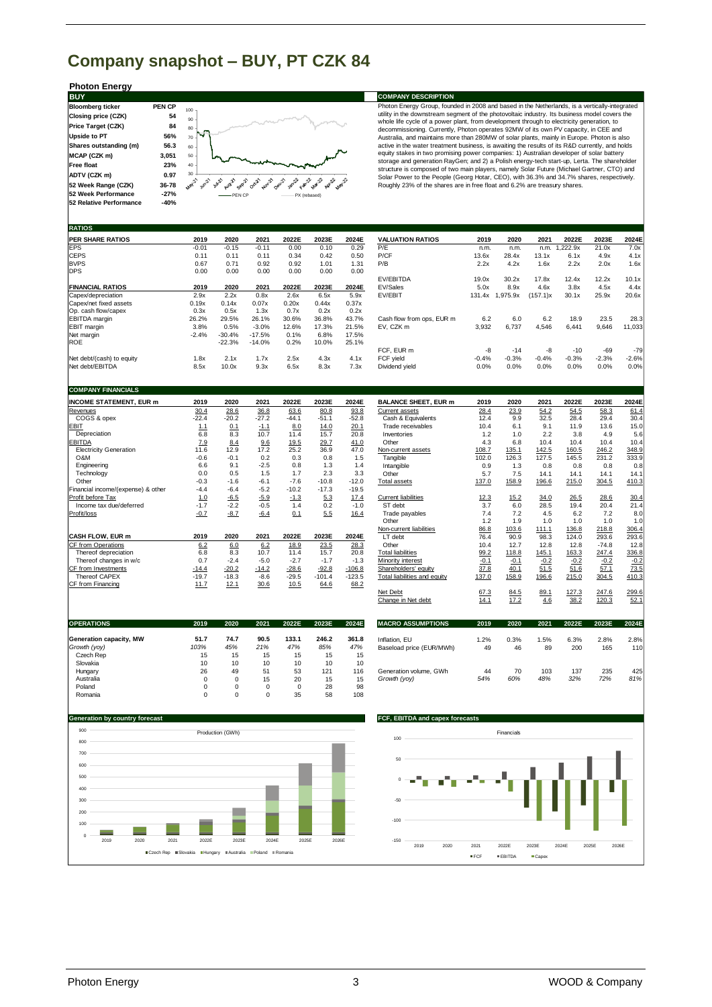# **Company snapshot – BUY, PT CZK 84**

# **Photon Energy**



## **BUY COMPANY DESCRIPTION**

Photon Energy Group, founded in 2008 and based in the Netherlands, is a vertically-integrated<br>utility in the downstream segment of the photovoltaic industry. Its business model covers the<br>whole life cycle of a power plant, decommissioning. Currently, Photon operates 92MW of its own PV capacity, in CEE and Australia, and maintains more than 280MW of solar plants, mainly in Europe. Photon is also active in the water treatment business, is awaiting the results of its R&D currently, and holds<br>equity stakes in two promising power companies: 1) Australian developer of solar battery<br>storage and generation RayGen; and 2)

| <b>RATIOS</b>             |         |          |          |       |       |       |                           |         |          |          |         |         |         |
|---------------------------|---------|----------|----------|-------|-------|-------|---------------------------|---------|----------|----------|---------|---------|---------|
| <b>PER SHARE RATIOS</b>   | 2019    | 2020     | 2021     | 2022E | 2023E | 2024E | <b>VALUATION RATIOS</b>   | 2019    | 2020     | 2021     | 2022E   | 2023E   | 2024E   |
| <b>EPS</b>                | $-0.01$ | $-0.15$  | $-0.11$  | 0.00  | 0.10  | 0.29  | P/E                       | n.m.    | n.m.     | n.m.     | ,222.9x | 21.0x   | 7.0x    |
| <b>CEPS</b>               | 0.11    | 0.11     | 0.11     | 0.34  | 0.42  | 0.50  | P/CF                      | 13.6x   | 28.4x    | 13.1x    | 6.1x    | 4.9x    | 4.1x    |
| <b>BVPS</b>               | 0.67    | 0.71     | 0.92     | 0.92  | 1.01  | 1.31  | P/B                       | 2.2x    | 4.2x     | 1.6x     | 2.2x    | 2.0x    | 1.6x    |
| <b>DPS</b>                | 0.00    | 0.00     | 0.00     | 0.00  | 0.00  | 0.00  |                           |         |          |          |         |         |         |
|                           |         |          |          |       |       |       | EV/EBITDA                 | 19.0x   | 30.2x    | 17.8x    | 12.4x   | 12.2x   | 10.1x   |
| <b>FINANCIAL RATIOS</b>   | 2019    | 2020     | 2021     | 2022E | 2023E | 2024E | EV/Sales                  | 5.0x    | 8.9x     | 4.6x     | 3.8x    | 4.5x    | 4.4x    |
| Capex/depreciation        | 2.9x    | 2.2x     | 0.8x     | 2.6x  | 6.5x  | 5.9x  | EV/EBIT                   | 131.4x  | 1,975.9x | (157.1)x | 30.1x   | 25.9x   | 20.6x   |
| Capex/net fixed assets    | 0.19x   | 0.14x    | 0.07x    | 0.20x | 0.44x | 0.37x |                           |         |          |          |         |         |         |
| Op. cash flow/capex       | 0.3x    | 0.5x     | 1.3x     | 0.7x  | 0.2x  | 0.2x  |                           |         |          |          |         |         |         |
| <b>EBITDA</b> margin      | 26.2%   | 29.5%    | 26.1%    | 30.6% | 36.8% | 43.7% | Cash flow from ops, EUR m | 6.2     | 6.0      | 6.2      | 18.9    | 23.5    | 28.3    |
| <b>EBIT</b> margin        | 3.8%    | 0.5%     | $-3.0%$  | 12.6% | 17.3% | 21.5% | EV, CZK m                 | 3,932   | 6,737    | 4,546    | 6,441   | 9,646   | 11,033  |
| Net margin                | $-2.4%$ | $-30.4%$ | $-17.5%$ | 0.1%  | 6.8%  | 17.5% |                           |         |          |          |         |         |         |
| <b>ROE</b>                |         | $-22.3%$ | $-14.0%$ | 0.2%  | 10.0% | 25.1% |                           |         |          |          |         |         |         |
|                           |         |          |          |       |       |       | FCF, EUR m                | -8      | $-14$    | -8       | $-10$   | $-69$   | $-79$   |
| Net debt/(cash) to equity | 1.8x    | 2.1x     | 1.7x     | 2.5x  | 4.3x  | 4.1x  | FCF yield                 | $-0.4%$ | $-0.3%$  | $-0.4%$  | $-0.3%$ | $-2.3%$ | $-2.6%$ |
| Net debt/EBITDA           | 8.5x    | 10.0x    | 9.3x     | 6.5x  | 8.3x  | 7.3x  | Dividend yield            | 0.0%    | 0.0%     | 0.0%     | 0.0%    | 0.0%    | 0.0%    |

| <b>COMPANY FINANCIALS</b>          |                    |         |         |         |          |          |                              |        |        |        |        |         |        |
|------------------------------------|--------------------|---------|---------|---------|----------|----------|------------------------------|--------|--------|--------|--------|---------|--------|
| <b>INCOME STATEMENT, EUR m</b>     | 2019               | 2020    | 2021    | 2022E   | 2023E    | 2024E    | <b>BALANCE SHEET, EUR m</b>  | 2019   | 2020   | 2021   | 2022E  | 2023E   | 2024E  |
| Revenues                           | 30.4               | 28.6    | 36.8    | 63.6    | 80.8     | 93.8     | Current assets               | 28.4   | 23.9   | 54.2   | 54.5   | 58.3    | 61.4   |
| COGS & opex                        | $-22.4$            | $-20.2$ | $-27.2$ | $-44.1$ | $-51.1$  | $-52.8$  | Cash & Equivalents           | 12.4   | 9.9    | 32.5   | 28.4   | 29.4    | 30.4   |
| EBIT                               | 1.1                | 0.1     | $-1.1$  | 8.0     | 14.0     | 20.1     | Trade receivables            | 10.4   | 6.1    | 9.1    | 11.9   | 13.6    | 15.0   |
| Depreciation                       | 6.8                | 8.3     | 10.7    | 11.4    | 15.7     | 20.8     | Inventories                  | 1.2    | 1.0    | 2.2    | 3.8    | 4.9     | 5.6    |
| <b>EBITDA</b>                      | 7.9                | 8.4     | 9.6     | 19.5    | 29.7     | 41.0     | Other                        | 4.3    | 6.8    | 10.4   | 10.4   | 10.4    | 10.4   |
| <b>Electricity Generation</b>      | 11.6               | 12.9    | 17.2    | 25.2    | 36.9     | 47.0     | Non-current assets           | 108.7  | 135.1  | 142.5  | 160.5  | 246.2   | 348.9  |
| O&M                                | $-0.6$             | $-0.1$  | 0.2     | 0.3     | 0.8      | 1.5      | Tangible                     | 102.0  | 126.3  | 127.5  | 145.5  | 231.2   | 333.9  |
| Engineering                        | 6.6                | 9.1     | $-2.5$  | 0.8     | 1.3      | 1.4      | Intangible                   | 0.9    | 1.3    | 0.8    | 0.8    | 0.8     | 0.8    |
| Technology                         | 0.0                | 0.5     | 1.5     | 1.7     | 2.3      | 3.3      | Other                        | 5.7    | 7.5    | 14.1   | 14.1   | 14.1    | 14.1   |
| Other                              | $-0.3$             | $-1.6$  | $-6.1$  | $-7.6$  | $-10.8$  | $-12.0$  | Total assets                 | 137.0  | 158.9  | 196.6  | 215.0  | 304.5   | 410.3  |
| Financial income/(expense) & other | $-4.4$             | $-6.4$  | $-5.2$  | $-10.2$ | $-17.3$  | $-19.5$  |                              |        |        |        |        |         |        |
| Profit before Tax                  | $\frac{1.0}{-1.7}$ | $-6.5$  | $-5.9$  | $-1.3$  | 5.3      | 17.4     | <b>Current liabilities</b>   | 12.3   | 15.2   | 34.0   | 26.5   | 28.6    | 30.4   |
| Income tax due/deferred            |                    | $-2.2$  | $-0.5$  | 1.4     | 0.2      | $-1.0$   | ST debt                      | 3.7    | 6.0    | 28.5   | 19.4   | 20.4    | 21.4   |
| Profit/loss                        | $-0.7$             | $-8.7$  | $-6.4$  | 0.1     | 5.5      | 16.4     | Trade payables               | 7.4    | 7.2    | 4.5    | 6.2    | 7.2     | 8.0    |
|                                    |                    |         |         |         |          |          | Other                        | 1.2    | 1.9    | 1.0    | 1.0    | 1.0     | 1.0    |
|                                    |                    |         |         |         |          |          | Non-current liabilities      | 86.8   | 103.6  | 111.1  | 136.8  | 218.8   | 306.4  |
| CASH FLOW, EUR m                   | 2019               | 2020    | 2021    | 2022E   | 2023E    | 2024E    | LT debt                      | 76.4   | 90.9   | 98.3   | 124.0  | 293.6   | 293.6  |
| CF from Operations                 | 6.2                | 6.0     | 6.2     | 18.9    | 23.5     | 28.3     | Other                        | 10.4   | 12.7   | 12.8   | 12.8   | $-74.8$ | 12.8   |
| Thereof depreciation               | 6.8                | 8.3     | 10.7    | 11.4    | 15.7     | 20.8     | <b>Total liabilities</b>     | 99.2   | 118.8  | 145.1  | 163.3  | 247.4   | 336.8  |
| Thereof changes in w/c             | 0.7                | $-2.4$  | $-5.0$  | $-2.7$  | $-1.7$   | $-1.3$   | Minority interest            | $-0.1$ | $-0.1$ | $-0.2$ | $-0.2$ | $-0.2$  | $-0.2$ |
| CF from Investments                | $-14.4$            | $-20.2$ | $-14.2$ | $-28.6$ | $-92.8$  | $-106.8$ | Shareholders' equity         | 37.8   | 40.1   | 51.5   | 51.6   | 57.1    | 73.5   |
| Thereof CAPEX                      | $-19.7$            | $-18.3$ | $-8.6$  | $-29.5$ | $-101.4$ | $-123.5$ | Total liabilities and equity | 137.0  | 158.9  | 196.6  | 215.0  | 304.5   | 410.3  |
| CF from Financing                  | 11.7               | 12.1    | 30.6    | 10.5    | 64.6     | 68.2     |                              |        |        |        |        |         |        |
|                                    |                    |         |         |         |          |          | Net Debt                     | 67.3   | 84.5   | 89.1   | 127.3  | 247.6   | 299.6  |

| <b>OPERATIONS</b>       | 2019 | 2020 | 2021 | 2022E | 2023E | 2024E | <b>MACRO ASSUMPTIONS</b> | 2019 | 2020 | 2021 | 2022E      | 2023E | 2024E |
|-------------------------|------|------|------|-------|-------|-------|--------------------------|------|------|------|------------|-------|-------|
| Generation capacity, MW | 51.7 | 74.7 | 90.5 | 133.1 | 246.2 | 361.8 | Inflation, EU            | .2%  | 0.3% | 1.5% | 6.3%       | 2.8%  | 2.8%  |
| Growth (yoy)            | 103% | 45%  | 21%  | 47%   | 85%   | 47%   | Baseload price (EUR/MWh) | 49   | 46   | 89   | <b>200</b> | 165   | 110   |
| Czech Rep               | 15   | 15   | 15   | 15    | 15    | 15    |                          |      |      |      |            |       |       |
| Slovakia                | 10   | 10   |      | 10    | 10    | 10    |                          |      |      |      |            |       |       |
| Hungary                 | 26   | 49   | 51   | 53    | 121   | 116   | Generation volume, GWh   | 44   | 70   | 103  | 137        | 235   | 425   |
| Australia               | 0    |      | 15   | 20    | 15    | 15    | Growth (yoy)             | 54%  | 60%  | 48%  | 32%        | 72%   | 81%   |
| Poland                  |      |      |      |       | 28    | 98    |                          |      |      |      |            |       |       |
| Romania                 |      |      |      | 35    | 58    | 108   |                          |      |      |      |            |       |       |

| <b>BALANCE SHEET, EUR m</b>  | 2019   | 2020   | 2021   | 2022E  | 2023E   | 2024E  |
|------------------------------|--------|--------|--------|--------|---------|--------|
| Current assets               | 28.4   | 23.9   | 54.2   | 54.5   | 58.3    | 61.4   |
| Cash & Equivalents           | 12.4   | 9.9    | 32.5   | 28.4   | 29.4    | 30.4   |
| Trade receivables            | 10.4   | 6.1    | 9.1    | 11.9   | 13.6    | 15.0   |
| Inventories                  | 1.2    | 1.0    | 2.2    | 3.8    | 4.9     | 5.6    |
| Other                        | 4.3    | 6.8    | 10.4   | 10.4   | 10.4    | 10.4   |
| Non-current assets           | 108.7  | 135.1  | 142.5  | 160.5  | 246.2   | 348.9  |
| Tangible                     | 102.0  | 126.3  | 127.5  | 145.5  | 231.2   | 333.9  |
| Intangible                   | 0.9    | 1.3    | 0.8    | 0.8    | 0.8     | 0.8    |
| Other                        | 5.7    | 7.5    | 14.1   | 14.1   | 14.1    | 14.1   |
| <b>Total assets</b>          | 137.0  | 158.9  | 196.6  | 215.0  | 304.5   | 410.3  |
| <b>Current liabilities</b>   | 12.3   | 15.2   | 34.0   | 26.5   | 28.6    | 30.4   |
| ST debt                      | 3.7    | 6.0    | 28.5   | 19.4   | 20.4    | 21.4   |
| Trade payables               | 7.4    | 7.2    | 4.5    | 6.2    | 7.2     | 8.0    |
| Other                        | 1.2    | 1.9    | 1.0    | 1.0    | 1.0     | 1.0    |
| Non-current liabilities      | 86.8   | 103.6  | 111.1  | 136.8  | 218.8   | 306.4  |
| LT debt                      | 76.4   | 90.9   | 98.3   | 124.0  | 293.6   | 293.6  |
| Other                        | 10.4   | 12.7   | 12.8   | 12.8   | $-74.8$ | 12.8   |
| <b>Total liabilities</b>     | 99.2   | 118.8  | 145.1  | 163.3  | 247.4   | 336.8  |
| Minority interest            | $-0.1$ | $-0.1$ | $-0.2$ | $-0.2$ | $-0.2$  | $-0.2$ |
| Shareholders' equity         | 37.8   | 40.1   | 51.5   | 51.6   | 57.1    | 73.5   |
| Total liabilities and equity | 137.0  | 158.9  | 196.6  | 215.0  | 304.5   | 410.3  |
| Net Debt                     | 67.3   | 84.5   | 89.1   | 127.3  | 247.6   | 299.6  |
| Change in Net debt           | 14.1   | 17.2   | 4.6    | 38.2   | 120.3   | 52.1   |

| <b>MACRO ASSUMPTIONS</b> | 2019 | 2020 | 2021 | 2022E | 2023E | 2024E |
|--------------------------|------|------|------|-------|-------|-------|
| Inflation, EU            | 1.2% | 0.3% | 1.5% | 6.3%  | 2.8%  | 2.8%  |
| Baseload price (EUR/MWh) | 49   | 46   | 89   | 200   | 165   | 110   |
| Generation volume, GWh   | 44   | 70   | 103  | 137   | 235   | 425   |
| Growth (yoy)             | 54%  | 60%  | 48%  | 32%   | 72%   | 81%   |

#### **Generation by country forecast FCF, EBITDA and capex forecasts** 900 Production (GWh) 800 700 600 500  $400$ <sub>30</sub> 200 100 <u>la s</u> 0 2019 2020 2021 2022E 2023E 2024E 2025E 2026E ■Czech Rep ■Slovakia ■Hungary ■Australia ■Poland ■Rom

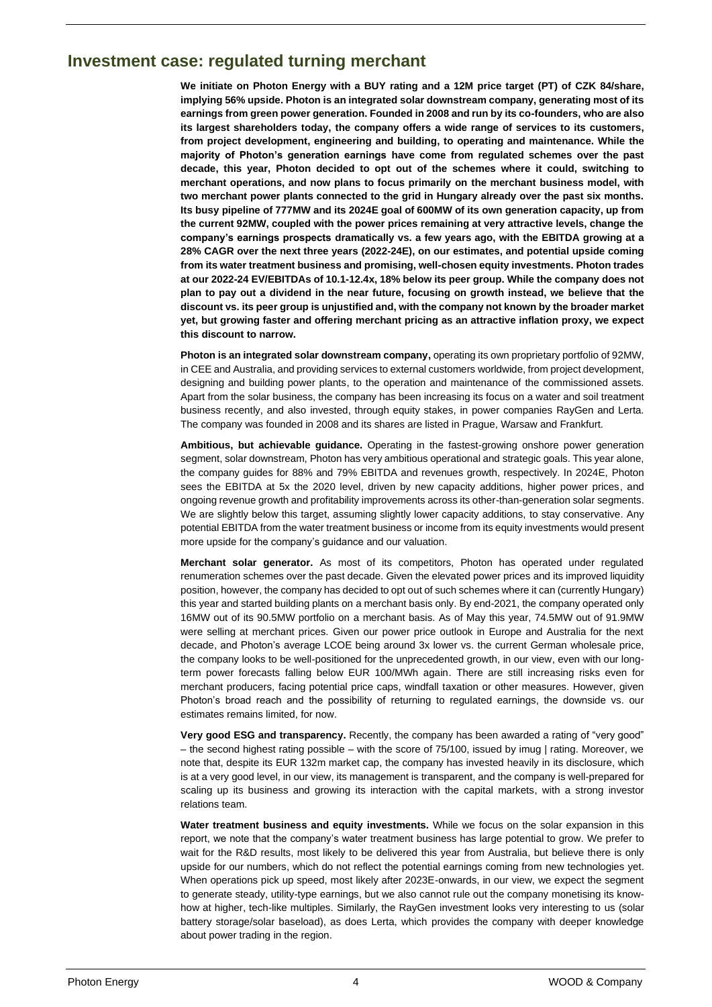# **Investment case: regulated turning merchant**

**We initiate on Photon Energy with a BUY rating and a 12M price target (PT) of CZK 84/share, implying 56% upside. Photon is an integrated solar downstream company, generating most of its earnings from green power generation. Founded in 2008 and run by its co-founders, who are also its largest shareholders today, the company offers a wide range of services to its customers, from project development, engineering and building, to operating and maintenance. While the majority of Photon's generation earnings have come from regulated schemes over the past decade, this year, Photon decided to opt out of the schemes where it could, switching to merchant operations, and now plans to focus primarily on the merchant business model, with two merchant power plants connected to the grid in Hungary already over the past six months. Its busy pipeline of 777MW and its 2024E goal of 600MW of its own generation capacity, up from the current 92MW, coupled with the power prices remaining at very attractive levels, change the company's earnings prospects dramatically vs. a few years ago, with the EBITDA growing at a 28% CAGR over the next three years (2022-24E), on our estimates, and potential upside coming from its water treatment business and promising, well-chosen equity investments. Photon trades at our 2022-24 EV/EBITDAs of 10.1-12.4x, 18% below its peer group. While the company does not plan to pay out a dividend in the near future, focusing on growth instead, we believe that the discount vs. its peer group is unjustified and, with the company not known by the broader market yet, but growing faster and offering merchant pricing as an attractive inflation proxy, we expect this discount to narrow.**

**Photon is an integrated solar downstream company,** operating its own proprietary portfolio of 92MW, in CEE and Australia, and providing services to external customers worldwide, from project development, designing and building power plants, to the operation and maintenance of the commissioned assets. Apart from the solar business, the company has been increasing its focus on a water and soil treatment business recently, and also invested, through equity stakes, in power companies RayGen and Lerta. The company was founded in 2008 and its shares are listed in Prague, Warsaw and Frankfurt.

**Ambitious, but achievable guidance.** Operating in the fastest-growing onshore power generation segment, solar downstream, Photon has very ambitious operational and strategic goals. This year alone, the company guides for 88% and 79% EBITDA and revenues growth, respectively. In 2024E, Photon sees the EBITDA at 5x the 2020 level, driven by new capacity additions, higher power prices, and ongoing revenue growth and profitability improvements across its other-than-generation solar segments. We are slightly below this target, assuming slightly lower capacity additions, to stay conservative. Any potential EBITDA from the water treatment business or income from its equity investments would present more upside for the company's guidance and our valuation.

**Merchant solar generator.** As most of its competitors, Photon has operated under regulated renumeration schemes over the past decade. Given the elevated power prices and its improved liquidity position, however, the company has decided to opt out of such schemes where it can (currently Hungary) this year and started building plants on a merchant basis only. By end-2021, the company operated only 16MW out of its 90.5MW portfolio on a merchant basis. As of May this year, 74.5MW out of 91.9MW were selling at merchant prices. Given our power price outlook in Europe and Australia for the next decade, and Photon's average LCOE being around 3x lower vs. the current German wholesale price, the company looks to be well-positioned for the unprecedented growth, in our view, even with our longterm power forecasts falling below EUR 100/MWh again. There are still increasing risks even for merchant producers, facing potential price caps, windfall taxation or other measures. However, given Photon's broad reach and the possibility of returning to regulated earnings, the downside vs. our estimates remains limited, for now.

**Very good ESG and transparency.** Recently, the company has been awarded a rating of "very good" – the second highest rating possible – with the score of 75/100, issued by imug | rating. Moreover, we note that, despite its EUR 132m market cap, the company has invested heavily in its disclosure, which is at a very good level, in our view, its management is transparent, and the company is well-prepared for scaling up its business and growing its interaction with the capital markets, with a strong investor relations team.

**Water treatment business and equity investments.** While we focus on the solar expansion in this report, we note that the company's water treatment business has large potential to grow. We prefer to wait for the R&D results, most likely to be delivered this year from Australia, but believe there is only upside for our numbers, which do not reflect the potential earnings coming from new technologies yet. When operations pick up speed, most likely after 2023E-onwards, in our view, we expect the segment to generate steady, utility-type earnings, but we also cannot rule out the company monetising its knowhow at higher, tech-like multiples. Similarly, the RayGen investment looks very interesting to us (solar battery storage/solar baseload), as does Lerta, which provides the company with deeper knowledge about power trading in the region.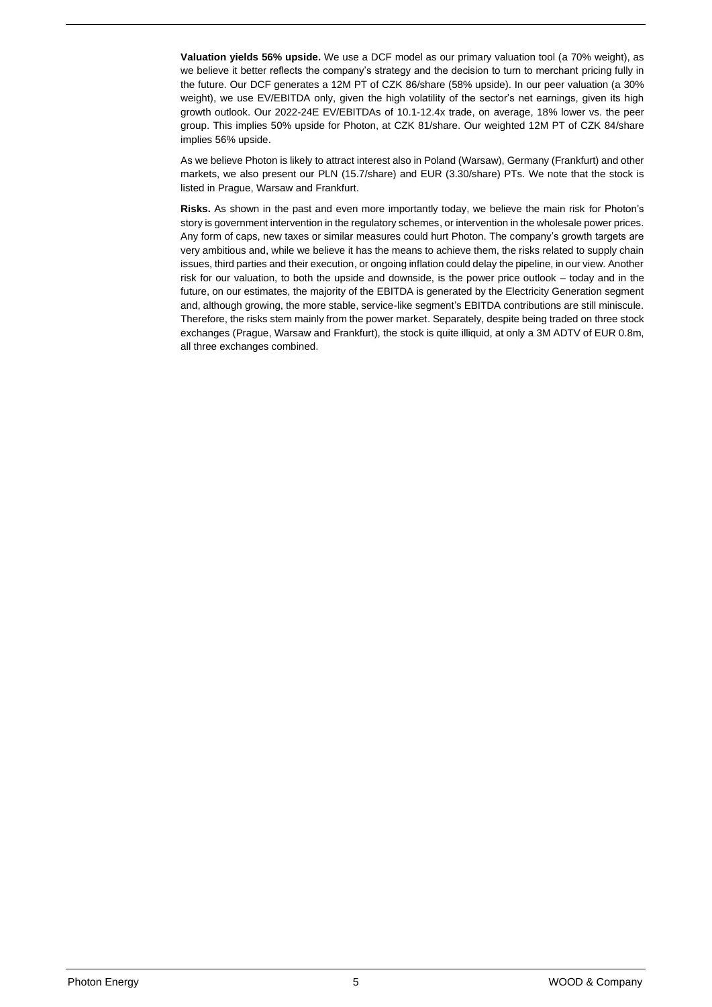**Valuation yields 56% upside.** We use a DCF model as our primary valuation tool (a 70% weight), as we believe it better reflects the company's strategy and the decision to turn to merchant pricing fully in the future. Our DCF generates a 12M PT of CZK 86/share (58% upside). In our peer valuation (a 30% weight), we use EV/EBITDA only, given the high volatility of the sector's net earnings, given its high growth outlook. Our 2022-24E EV/EBITDAs of 10.1-12.4x trade, on average, 18% lower vs. the peer group. This implies 50% upside for Photon, at CZK 81/share. Our weighted 12M PT of CZK 84/share implies 56% upside.

As we believe Photon is likely to attract interest also in Poland (Warsaw), Germany (Frankfurt) and other markets, we also present our PLN (15.7/share) and EUR (3.30/share) PTs. We note that the stock is listed in Prague, Warsaw and Frankfurt.

**Risks.** As shown in the past and even more importantly today, we believe the main risk for Photon's story is government intervention in the regulatory schemes, or intervention in the wholesale power prices. Any form of caps, new taxes or similar measures could hurt Photon. The company's growth targets are very ambitious and, while we believe it has the means to achieve them, the risks related to supply chain issues, third parties and their execution, or ongoing inflation could delay the pipeline, in our view. Another risk for our valuation, to both the upside and downside, is the power price outlook – today and in the future, on our estimates, the majority of the EBITDA is generated by the Electricity Generation segment and, although growing, the more stable, service-like segment's EBITDA contributions are still miniscule. Therefore, the risks stem mainly from the power market. Separately, despite being traded on three stock exchanges (Prague, Warsaw and Frankfurt), the stock is quite illiquid, at only a 3M ADTV of EUR 0.8m, all three exchanges combined.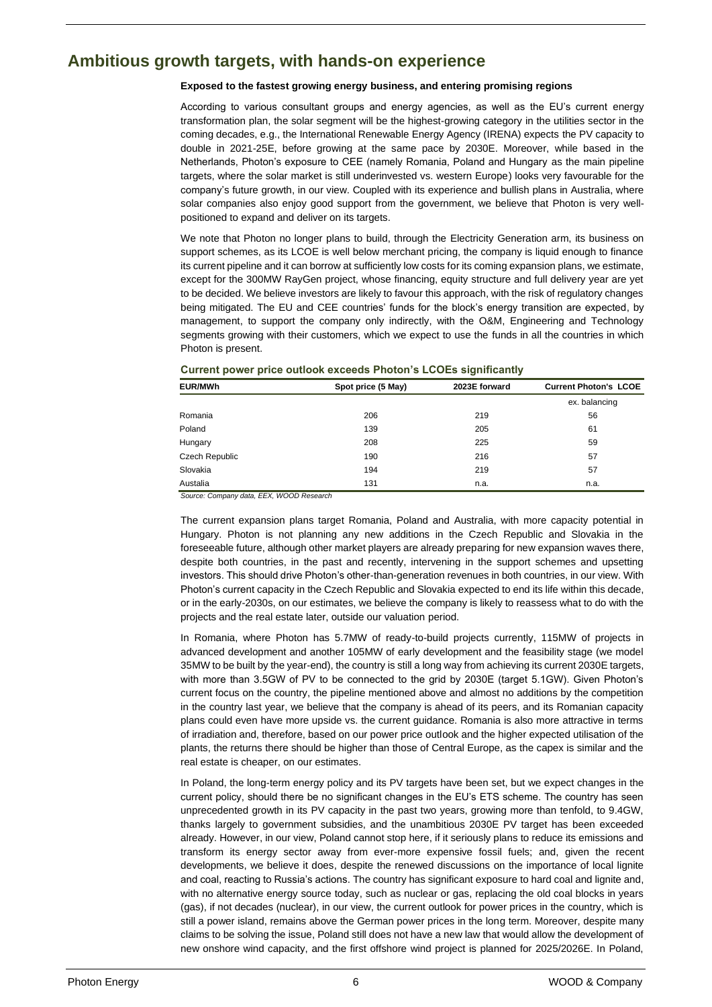# **Ambitious growth targets, with hands-on experience**

# **Exposed to the fastest growing energy business, and entering promising regions**

According to various consultant groups and energy agencies, as well as the EU's current energy transformation plan, the solar segment will be the highest-growing category in the utilities sector in the coming decades, e.g., the International Renewable Energy Agency (IRENA) expects the PV capacity to double in 2021-25E, before growing at the same pace by 2030E. Moreover, while based in the Netherlands, Photon's exposure to CEE (namely Romania, Poland and Hungary as the main pipeline targets, where the solar market is still underinvested vs. western Europe) looks very favourable for the company's future growth, in our view. Coupled with its experience and bullish plans in Australia, where solar companies also enjoy good support from the government, we believe that Photon is very wellpositioned to expand and deliver on its targets.

We note that Photon no longer plans to build, through the Electricity Generation arm, its business on support schemes, as its LCOE is well below merchant pricing, the company is liquid enough to finance its current pipeline and it can borrow at sufficiently low costs for its coming expansion plans, we estimate, except for the 300MW RayGen project, whose financing, equity structure and full delivery year are yet to be decided. We believe investors are likely to favour this approach, with the risk of regulatory changes being mitigated. The EU and CEE countries' funds for the block's energy transition are expected, by management, to support the company only indirectly, with the O&M, Engineering and Technology segments growing with their customers, which we expect to use the funds in all the countries in which Photon is present.

| <b>EUR/MWh</b> | Spot price (5 May) | 2023E forward | <b>Current Photon's LCOE</b> |  |  |
|----------------|--------------------|---------------|------------------------------|--|--|
|                |                    |               | ex. balancing                |  |  |
| Romania        | 206                | 219           | 56                           |  |  |
| Poland         | 139                | 205           | 61                           |  |  |
| Hungary        | 208                | 225           | 59                           |  |  |
| Czech Republic | 190                | 216           | 57                           |  |  |
| Slovakia       | 194                | 219           | 57                           |  |  |
| Austalia       | 131                | n.a.          | n.a.                         |  |  |

# **Current power price outlook exceeds Photon's LCOEs significantly**

*Source: Company data, EEX, WOOD Research*

The current expansion plans target Romania, Poland and Australia, with more capacity potential in Hungary. Photon is not planning any new additions in the Czech Republic and Slovakia in the foreseeable future, although other market players are already preparing for new expansion waves there, despite both countries, in the past and recently, intervening in the support schemes and upsetting investors. This should drive Photon's other-than-generation revenues in both countries, in our view. With Photon's current capacity in the Czech Republic and Slovakia expected to end its life within this decade, or in the early-2030s, on our estimates, we believe the company is likely to reassess what to do with the projects and the real estate later, outside our valuation period.

In Romania, where Photon has 5.7MW of ready-to-build projects currently, 115MW of projects in advanced development and another 105MW of early development and the feasibility stage (we model 35MW to be built by the year-end), the country is still a long way from achieving its current 2030E targets, with more than 3.5GW of PV to be connected to the grid by 2030E (target 5.1GW). Given Photon's current focus on the country, the pipeline mentioned above and almost no additions by the competition in the country last year, we believe that the company is ahead of its peers, and its Romanian capacity plans could even have more upside vs. the current guidance. Romania is also more attractive in terms of irradiation and, therefore, based on our power price outlook and the higher expected utilisation of the plants, the returns there should be higher than those of Central Europe, as the capex is similar and the real estate is cheaper, on our estimates.

In Poland, the long-term energy policy and its PV targets have been set, but we expect changes in the current policy, should there be no significant changes in the EU's ETS scheme. The country has seen unprecedented growth in its PV capacity in the past two years, growing more than tenfold, to 9.4GW, thanks largely to government subsidies, and the unambitious 2030E PV target has been exceeded already. However, in our view, Poland cannot stop here, if it seriously plans to reduce its emissions and transform its energy sector away from ever-more expensive fossil fuels; and, given the recent developments, we believe it does, despite the renewed discussions on the importance of local lignite and coal, reacting to Russia's actions. The country has significant exposure to hard coal and lignite and, with no alternative energy source today, such as nuclear or gas, replacing the old coal blocks in years (gas), if not decades (nuclear), in our view, the current outlook for power prices in the country, which is still a power island, remains above the German power prices in the long term. Moreover, despite many claims to be solving the issue, Poland still does not have a new law that would allow the development of new onshore wind capacity, and the first offshore wind project is planned for 2025/2026E. In Poland,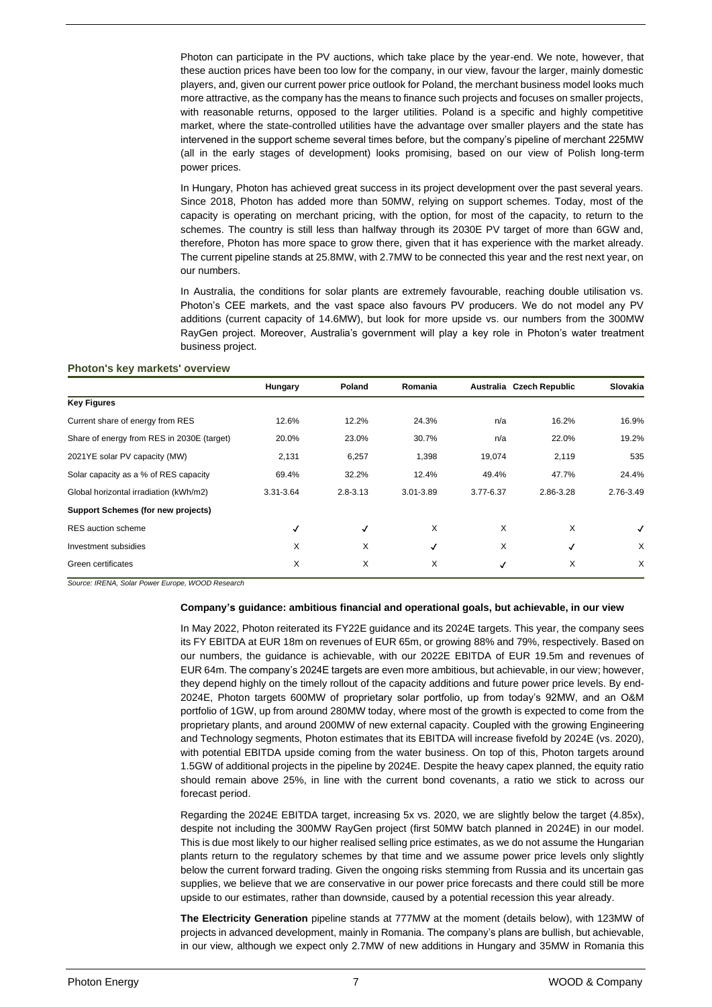Photon can participate in the PV auctions, which take place by the year-end. We note, however, that these auction prices have been too low for the company, in our view, favour the larger, mainly domestic players, and, given our current power price outlook for Poland, the merchant business model looks much more attractive, as the company has the means to finance such projects and focuses on smaller projects, with reasonable returns, opposed to the larger utilities. Poland is a specific and highly competitive market, where the state-controlled utilities have the advantage over smaller players and the state has intervened in the support scheme several times before, but the company's pipeline of merchant 225MW (all in the early stages of development) looks promising, based on our view of Polish long-term power prices.

In Hungary, Photon has achieved great success in its project development over the past several years. Since 2018, Photon has added more than 50MW, relying on support schemes. Today, most of the capacity is operating on merchant pricing, with the option, for most of the capacity, to return to the schemes. The country is still less than halfway through its 2030E PV target of more than 6GW and, therefore, Photon has more space to grow there, given that it has experience with the market already. The current pipeline stands at 25.8MW, with 2.7MW to be connected this year and the rest next year, on our numbers.

In Australia, the conditions for solar plants are extremely favourable, reaching double utilisation vs. Photon's CEE markets, and the vast space also favours PV producers. We do not model any PV additions (current capacity of 14.6MW), but look for more upside vs. our numbers from the 300MW RayGen project. Moreover, Australia's government will play a key role in Photon's water treatment business project.

|  |  |  | Photon's key markets' overview |
|--|--|--|--------------------------------|
|--|--|--|--------------------------------|

|                                            | Hungary   | Poland       | Romania   |           | Australia Czech Republic | Slovakia     |
|--------------------------------------------|-----------|--------------|-----------|-----------|--------------------------|--------------|
| <b>Key Figures</b>                         |           |              |           |           |                          |              |
| Current share of energy from RES           | 12.6%     | 12.2%        | 24.3%     | n/a       | 16.2%                    | 16.9%        |
| Share of energy from RES in 2030E (target) | 20.0%     | 23.0%        | 30.7%     | n/a       | 22.0%                    | 19.2%        |
| 2021YE solar PV capacity (MW)              | 2,131     | 6,257        | 1,398     | 19,074    | 2,119                    | 535          |
| Solar capacity as a % of RES capacity      | 69.4%     | 32.2%        | 12.4%     | 49.4%     | 47.7%                    | 24.4%        |
| Global horizontal irradiation (kWh/m2)     | 3.31-3.64 | $2.8 - 3.13$ | 3.01-3.89 | 3.77-6.37 | 2.86-3.28                | 2.76-3.49    |
| <b>Support Schemes (for new projects)</b>  |           |              |           |           |                          |              |
| <b>RES</b> auction scheme                  | √         | √            | X         | X         | X                        | $\checkmark$ |
| Investment subsidies                       | X         | X            | ✓         | X         | √                        | X            |
| Green certificates                         | X         | X            | X         | √         | X                        | X            |

*Source: IRENA, Solar Power Europe, WOOD Research*

## **Company's guidance: ambitious financial and operational goals, but achievable, in our view**

In May 2022, Photon reiterated its FY22E guidance and its 2024E targets. This year, the company sees its FY EBITDA at EUR 18m on revenues of EUR 65m, or growing 88% and 79%, respectively. Based on our numbers, the guidance is achievable, with our 2022E EBITDA of EUR 19.5m and revenues of EUR 64m. The company's 2024E targets are even more ambitious, but achievable, in our view; however, they depend highly on the timely rollout of the capacity additions and future power price levels. By end-2024E, Photon targets 600MW of proprietary solar portfolio, up from today's 92MW, and an O&M portfolio of 1GW, up from around 280MW today, where most of the growth is expected to come from the proprietary plants, and around 200MW of new external capacity. Coupled with the growing Engineering and Technology segments, Photon estimates that its EBITDA will increase fivefold by 2024E (vs. 2020), with potential EBITDA upside coming from the water business. On top of this, Photon targets around 1.5GW of additional projects in the pipeline by 2024E. Despite the heavy capex planned, the equity ratio should remain above 25%, in line with the current bond covenants, a ratio we stick to across our forecast period.

Regarding the 2024E EBITDA target, increasing 5x vs. 2020, we are slightly below the target (4.85x), despite not including the 300MW RayGen project (first 50MW batch planned in 2024E) in our model. This is due most likely to our higher realised selling price estimates, as we do not assume the Hungarian plants return to the regulatory schemes by that time and we assume power price levels only slightly below the current forward trading. Given the ongoing risks stemming from Russia and its uncertain gas supplies, we believe that we are conservative in our power price forecasts and there could still be more upside to our estimates, rather than downside, caused by a potential recession this year already.

**The Electricity Generation** pipeline stands at 777MW at the moment (details below), with 123MW of projects in advanced development, mainly in Romania. The company's plans are bullish, but achievable, in our view, although we expect only 2.7MW of new additions in Hungary and 35MW in Romania this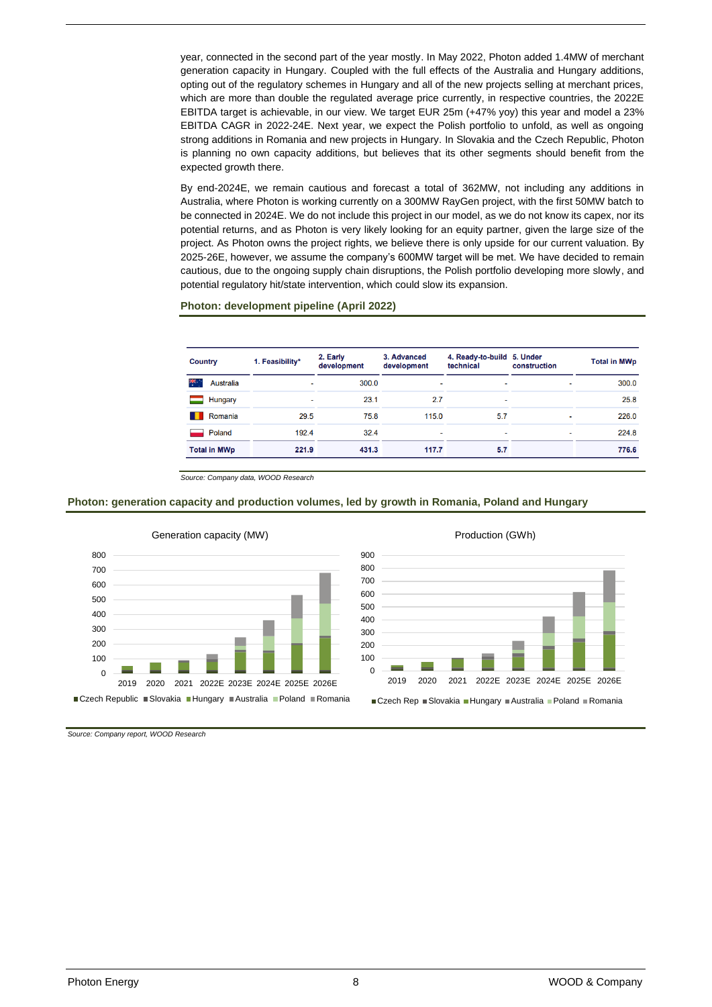year, connected in the second part of the year mostly. In May 2022, Photon added 1.4MW of merchant generation capacity in Hungary. Coupled with the full effects of the Australia and Hungary additions, opting out of the regulatory schemes in Hungary and all of the new projects selling at merchant prices, which are more than double the regulated average price currently, in respective countries, the 2022E EBITDA target is achievable, in our view. We target EUR 25m (+47% yoy) this year and model a 23% EBITDA CAGR in 2022-24E. Next year, we expect the Polish portfolio to unfold, as well as ongoing strong additions in Romania and new projects in Hungary. In Slovakia and the Czech Republic, Photon is planning no own capacity additions, but believes that its other segments should benefit from the expected growth there.

By end-2024E, we remain cautious and forecast a total of 362MW, not including any additions in Australia, where Photon is working currently on a 300MW RayGen project, with the first 50MW batch to be connected in 2024E. We do not include this project in our model, as we do not know its capex, nor its potential returns, and as Photon is very likely looking for an equity partner, given the large size of the project. As Photon owns the project rights, we believe there is only upside for our current valuation. By 2025-26E, however, we assume the company's 600MW target will be met. We have decided to remain cautious, due to the ongoing supply chain disruptions, the Polish portfolio developing more slowly, and potential regulatory hit/state intervention, which could slow its expansion.

# **Photon: development pipeline (April 2022)**

| <b>Country</b>      |           | 1. Feasibility*          | 2. Early<br>development | 3. Advanced<br>development | 4. Ready-to-build 5. Under<br>technical | construction | <b>Total in MWp</b>     |
|---------------------|-----------|--------------------------|-------------------------|----------------------------|-----------------------------------------|--------------|-------------------------|
| *.                  | Australia | ٠                        | 300.0                   | ٠                          | ٠                                       |              | 300.0<br>٠              |
|                     | Hungary   | $\overline{\phantom{a}}$ | 23.1                    | 2.7                        | $\overline{\phantom{a}}$                |              | 25.8                    |
|                     | Romania   | 29.5                     | 75.8                    | 115.0                      | 5.7                                     |              | 226.0<br>$\blacksquare$ |
|                     | Poland    | 192.4                    | 32.4                    | $\blacksquare$             | $\overline{\phantom{a}}$                |              | 224.8<br>$\blacksquare$ |
| <b>Total in MWp</b> |           | 221.9                    | 431.3                   | 117.7                      | 5.7                                     |              | 776.6                   |

*Source: Company data, WOOD Research*

**Photon: generation capacity and production volumes, led by growth in Romania, Poland and Hungary**





Production (GWh)

*Source: Company report, WOOD Research*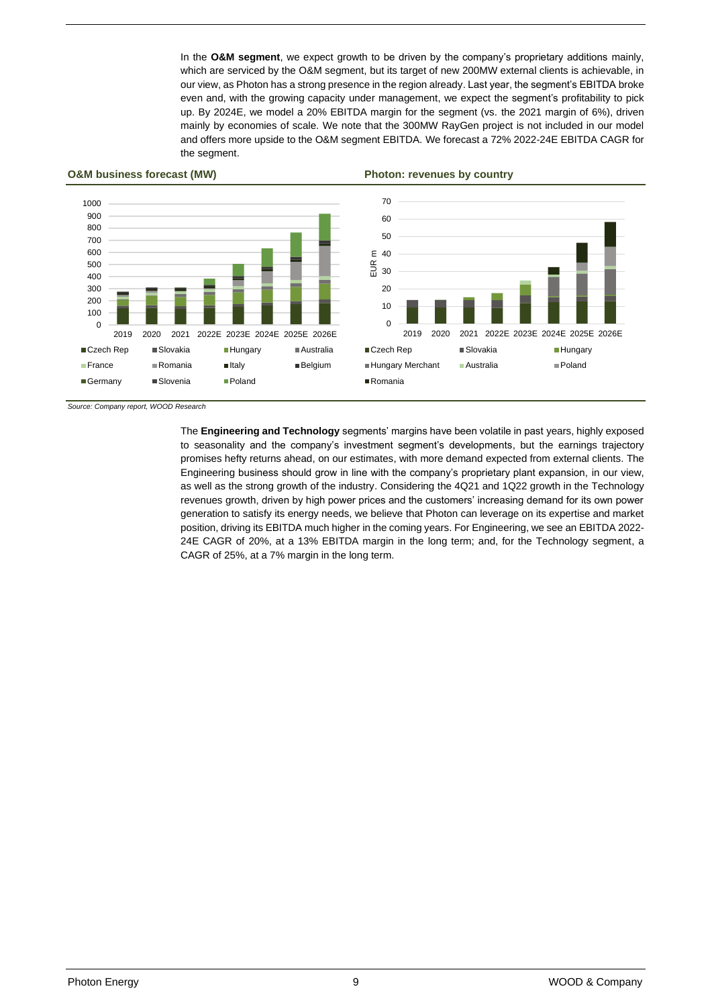In the **O&M segment**, we expect growth to be driven by the company's proprietary additions mainly, which are serviced by the O&M segment, but its target of new 200MW external clients is achievable, in our view, as Photon has a strong presence in the region already. Last year, the segment's EBITDA broke even and, with the growing capacity under management, we expect the segment's profitability to pick up. By 2024E, we model a 20% EBITDA margin for the segment (vs. the 2021 margin of 6%), driven mainly by economies of scale. We note that the 300MW RayGen project is not included in our model and offers more upside to the O&M segment EBITDA. We forecast a 72% 2022-24E EBITDA CAGR for the segment.

# **O&M business forecast (MW) Photon: revenues by country**



*Source: Company report, WOOD Research*

The **Engineering and Technology** segments' margins have been volatile in past years, highly exposed to seasonality and the company's investment segment's developments, but the earnings trajectory promises hefty returns ahead, on our estimates, with more demand expected from external clients. The Engineering business should grow in line with the company's proprietary plant expansion, in our view, as well as the strong growth of the industry. Considering the 4Q21 and 1Q22 growth in the Technology revenues growth, driven by high power prices and the customers' increasing demand for its own power generation to satisfy its energy needs, we believe that Photon can leverage on its expertise and market position, driving its EBITDA much higher in the coming years. For Engineering, we see an EBITDA 2022- 24E CAGR of 20%, at a 13% EBITDA margin in the long term; and, for the Technology segment, a CAGR of 25%, at a 7% margin in the long term.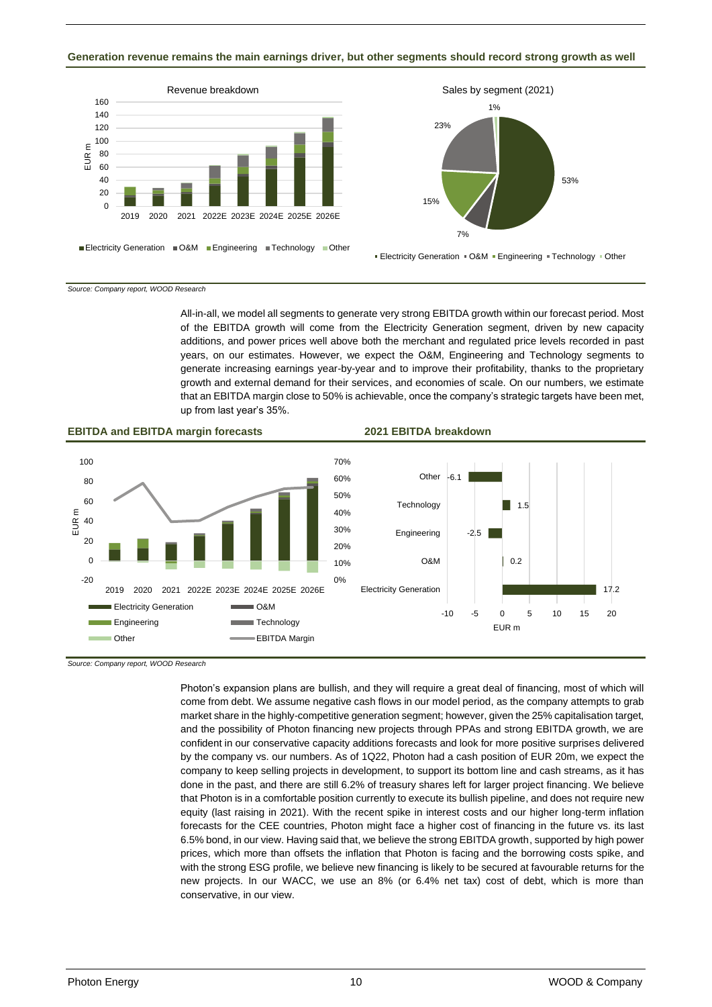# **Generation revenue remains the main earnings driver, but other segments should record strong growth as well**





**Electricity Generation . O&M . Engineering . Technology . Other** 

#### *Source: Company report, WOOD Research*

All-in-all, we model all segments to generate very strong EBITDA growth within our forecast period. Most of the EBITDA growth will come from the Electricity Generation segment, driven by new capacity additions, and power prices well above both the merchant and regulated price levels recorded in past years, on our estimates. However, we expect the O&M, Engineering and Technology segments to generate increasing earnings year-by-year and to improve their profitability, thanks to the proprietary growth and external demand for their services, and economies of scale. On our numbers, we estimate that an EBITDA margin close to 50% is achievable, once the company's strategic targets have been met, up from last year's 35%.

# **EBITDA and EBITDA margin forecasts 2021 EBITDA breakdown**



*Source: Company report, WOOD Research*

Photon's expansion plans are bullish, and they will require a great deal of financing, most of which will come from debt. We assume negative cash flows in our model period, as the company attempts to grab market share in the highly-competitive generation segment; however, given the 25% capitalisation target, and the possibility of Photon financing new projects through PPAs and strong EBITDA growth, we are confident in our conservative capacity additions forecasts and look for more positive surprises delivered by the company vs. our numbers. As of 1Q22, Photon had a cash position of EUR 20m, we expect the company to keep selling projects in development, to support its bottom line and cash streams, as it has done in the past, and there are still 6.2% of treasury shares left for larger project financing. We believe that Photon is in a comfortable position currently to execute its bullish pipeline, and does not require new equity (last raising in 2021). With the recent spike in interest costs and our higher long-term inflation forecasts for the CEE countries, Photon might face a higher cost of financing in the future vs. its last 6.5% bond, in our view. Having said that, we believe the strong EBITDA growth, supported by high power prices, which more than offsets the inflation that Photon is facing and the borrowing costs spike, and with the strong ESG profile, we believe new financing is likely to be secured at favourable returns for the new projects. In our WACC, we use an 8% (or 6.4% net tax) cost of debt, which is more than conservative, in our view.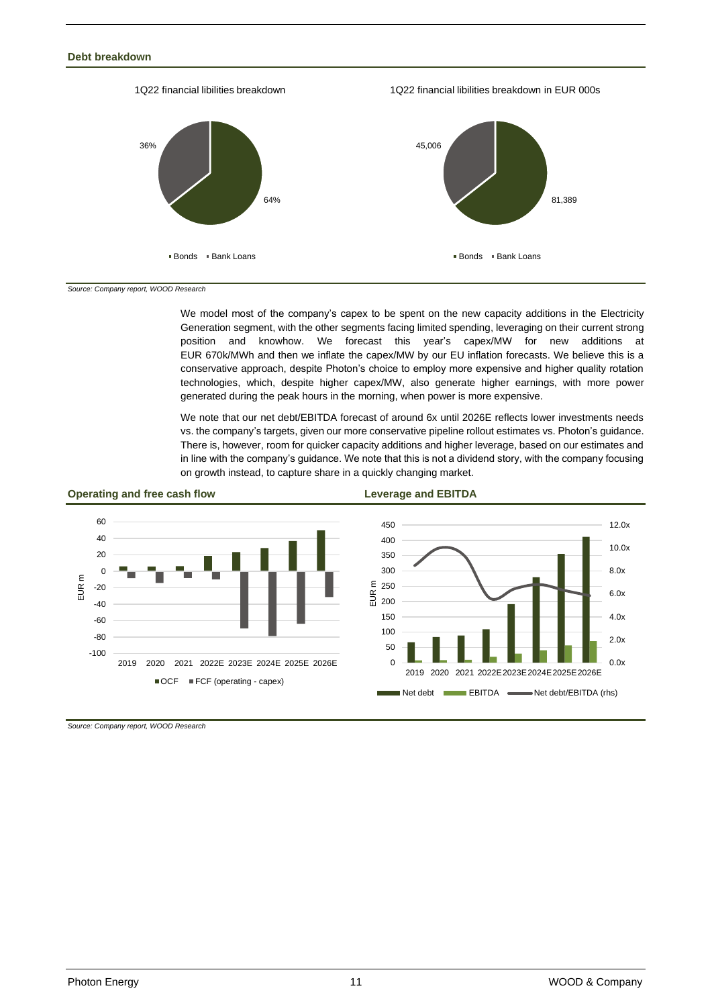

*Source: Company report, WOOD Research*

We model most of the company's capex to be spent on the new capacity additions in the Electricity Generation segment, with the other segments facing limited spending, leveraging on their current strong position and knowhow. We forecast this year's capex/MW for new additions at EUR 670k/MWh and then we inflate the capex/MW by our EU inflation forecasts. We believe this is a conservative approach, despite Photon's choice to employ more expensive and higher quality rotation technologies, which, despite higher capex/MW, also generate higher earnings, with more power generated during the peak hours in the morning, when power is more expensive.

We note that our net debt/EBITDA forecast of around 6x until 2026E reflects lower investments needs vs. the company's targets, given our more conservative pipeline rollout estimates vs. Photon's guidance. There is, however, room for quicker capacity additions and higher leverage, based on our estimates and in line with the company's guidance. We note that this is not a dividend story, with the company focusing on growth instead, to capture share in a quickly changing market.



*Source: Company report, WOOD Research*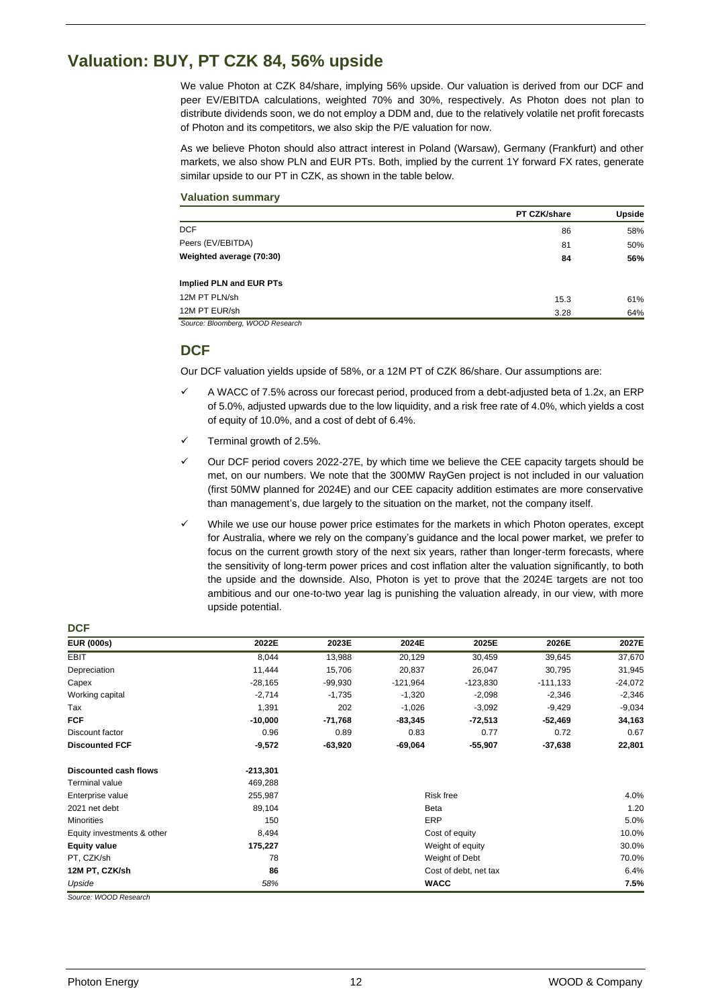# **Valuation: BUY, PT CZK 84, 56% upside**

We value Photon at CZK 84/share, implying 56% upside. Our valuation is derived from our DCF and peer EV/EBITDA calculations, weighted 70% and 30%, respectively. As Photon does not plan to distribute dividends soon, we do not employ a DDM and, due to the relatively volatile net profit forecasts of Photon and its competitors, we also skip the P/E valuation for now.

As we believe Photon should also attract interest in Poland (Warsaw), Germany (Frankfurt) and other markets, we also show PLN and EUR PTs. Both, implied by the current 1Y forward FX rates, generate similar upside to our PT in CZK, as shown in the table below.

# **Valuation summary**

|                                  | <b>PT CZK/share</b> | Upside |
|----------------------------------|---------------------|--------|
| <b>DCF</b>                       | 86                  | 58%    |
| Peers (EV/EBITDA)                | 81                  | 50%    |
| Weighted average (70:30)         | 84                  | 56%    |
| Implied PLN and EUR PTs          |                     |        |
| 12M PT PLN/sh                    | 15.3                | 61%    |
| 12M PT EUR/sh                    | 3.28                | 64%    |
| Source: Bloomberg, WOOD Research |                     |        |

# **DCF**

Our DCF valuation yields upside of 58%, or a 12M PT of CZK 86/share. Our assumptions are:

- A WACC of 7.5% across our forecast period, produced from a debt-adjusted beta of 1.2x, an ERP of 5.0%, adjusted upwards due to the low liquidity, and a risk free rate of 4.0%, which yields a cost of equity of 10.0%, and a cost of debt of 6.4%.
- Terminal growth of 2.5%.
- Our DCF period covers 2022-27E, by which time we believe the CEE capacity targets should be met, on our numbers. We note that the 300MW RayGen project is not included in our valuation (first 50MW planned for 2024E) and our CEE capacity addition estimates are more conservative than management's, due largely to the situation on the market, not the company itself.
- While we use our house power price estimates for the markets in which Photon operates, except for Australia, where we rely on the company's guidance and the local power market, we prefer to focus on the current growth story of the next six years, rather than longer-term forecasts, where the sensitivity of long-term power prices and cost inflation alter the valuation significantly, to both the upside and the downside. Also, Photon is yet to prove that the 2024E targets are not too ambitious and our one-to-two year lag is punishing the valuation already, in our view, with more upside potential.

| <b>EUR (000s)</b>            | 2022E      | 2023E     | 2024E       | 2025E                 | 2026E      | 2027E     |
|------------------------------|------------|-----------|-------------|-----------------------|------------|-----------|
| EBIT                         | 8,044      | 13,988    | 20,129      | 30,459                | 39,645     | 37,670    |
| Depreciation                 | 11,444     | 15,706    | 20,837      | 26,047                | 30,795     | 31,945    |
| Capex                        | $-28,165$  | $-99,930$ | $-121,964$  | $-123,830$            | $-111,133$ | $-24,072$ |
| Working capital              | $-2,714$   | $-1,735$  | $-1,320$    | $-2,098$              | $-2,346$   | $-2,346$  |
| Tax                          | 1,391      | 202       | $-1,026$    | $-3,092$              | $-9,429$   | $-9,034$  |
| <b>FCF</b>                   | $-10,000$  | $-71,768$ | $-83,345$   | $-72,513$             | $-52,469$  | 34,163    |
| Discount factor              | 0.96       | 0.89      | 0.83        | 0.77                  | 0.72       | 0.67      |
| <b>Discounted FCF</b>        | $-9,572$   | $-63,920$ | $-69,064$   | $-55,907$             | $-37,638$  | 22,801    |
| <b>Discounted cash flows</b> | $-213,301$ |           |             |                       |            |           |
| Terminal value               | 469,288    |           |             |                       |            |           |
| Enterprise value             | 255,987    |           | Risk free   |                       |            | 4.0%      |
| 2021 net debt                | 89,104     |           | Beta        |                       |            | 1.20      |
| <b>Minorities</b>            | 150        |           | <b>ERP</b>  |                       |            | 5.0%      |
| Equity investments & other   | 8,494      |           |             | Cost of equity        |            | 10.0%     |
| <b>Equity value</b>          | 175,227    |           |             | Weight of equity      |            | 30.0%     |
| PT, CZK/sh                   | 78         |           |             | Weight of Debt        |            | 70.0%     |
| 12M PT, CZK/sh               | 86         |           |             | Cost of debt, net tax |            | 6.4%      |
| Upside                       | 58%        |           | <b>WACC</b> |                       |            | 7.5%      |

*Source: WOOD Research*

**DCF**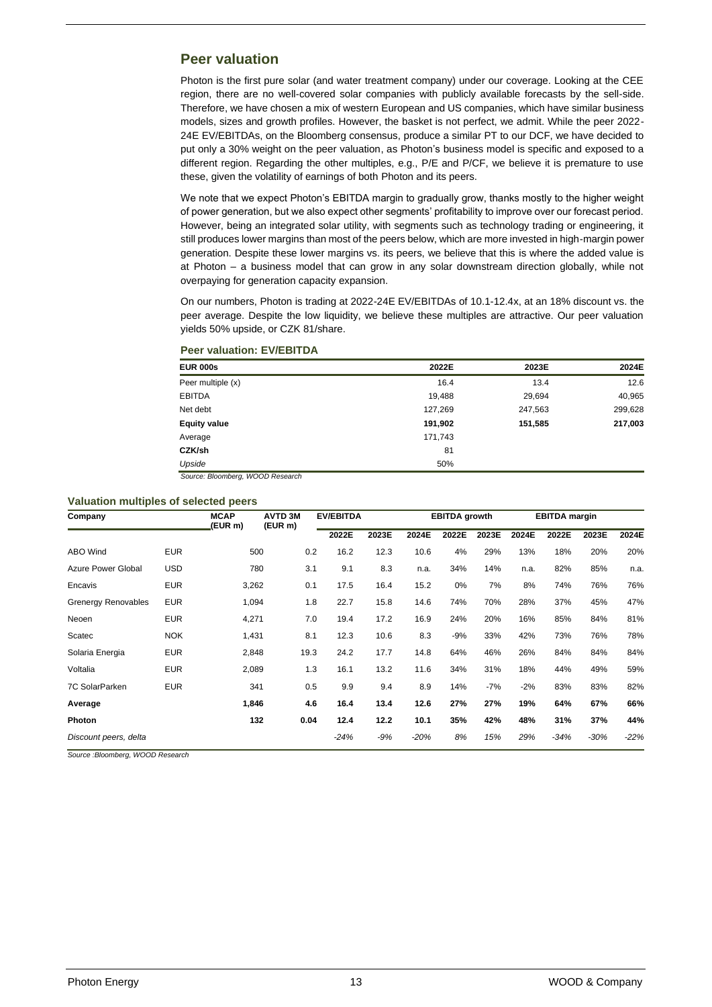# **Peer valuation**

Photon is the first pure solar (and water treatment company) under our coverage. Looking at the CEE region, there are no well-covered solar companies with publicly available forecasts by the sell-side. Therefore, we have chosen a mix of western European and US companies, which have similar business models, sizes and growth profiles. However, the basket is not perfect, we admit. While the peer 2022- 24E EV/EBITDAs, on the Bloomberg consensus, produce a similar PT to our DCF, we have decided to put only a 30% weight on the peer valuation, as Photon's business model is specific and exposed to a different region. Regarding the other multiples, e.g., P/E and P/CF, we believe it is premature to use these, given the volatility of earnings of both Photon and its peers.

We note that we expect Photon's EBITDA margin to gradually grow, thanks mostly to the higher weight of power generation, but we also expect other segments' profitability to improve over our forecast period. However, being an integrated solar utility, with segments such as technology trading or engineering, it still produces lower margins than most of the peers below, which are more invested in high-margin power generation. Despite these lower margins vs. its peers, we believe that this is where the added value is at Photon – a business model that can grow in any solar downstream direction globally, while not overpaying for generation capacity expansion.

On our numbers, Photon is trading at 2022-24E EV/EBITDAs of 10.1-12.4x, at an 18% discount vs. the peer average. Despite the low liquidity, we believe these multiples are attractive. Our peer valuation yields 50% upside, or CZK 81/share.

| <b>Peer valuation: EV/EBITDA</b> |  |
|----------------------------------|--|
|----------------------------------|--|

| <b>EUR 000s</b>     | 2022E   | 2023E   | 2024E   |
|---------------------|---------|---------|---------|
| Peer multiple (x)   | 16.4    | 13.4    | 12.6    |
| <b>EBITDA</b>       | 19,488  | 29,694  | 40,965  |
| Net debt            | 127,269 | 247,563 | 299,628 |
| <b>Equity value</b> | 191,902 | 151,585 | 217,003 |
| Average             | 171,743 |         |         |
| CZK/sh              | 81      |         |         |
| Upside              | 50%     |         |         |

*Source: Bloomberg, WOOD Research*

# **Valuation multiples of selected peers**

| Company                   |            | <b>MCAP</b><br>(EUR m) | <b>AVTD 3M</b><br>(EUR m) | <b>EV/EBITDA</b> |       |        | <b>EBITDA</b> growth |       |       | <b>EBITDA</b> margin |        |        |
|---------------------------|------------|------------------------|---------------------------|------------------|-------|--------|----------------------|-------|-------|----------------------|--------|--------|
|                           |            |                        |                           | 2022E            | 2023E | 2024E  | 2022E                | 2023E | 2024E | 2022E                | 2023E  | 2024E  |
| ABO Wind                  | <b>EUR</b> | 500                    | 0.2                       | 16.2             | 12.3  | 10.6   | 4%                   | 29%   | 13%   | 18%                  | 20%    | 20%    |
| <b>Azure Power Global</b> | <b>USD</b> | 780                    | 3.1                       | 9.1              | 8.3   | n.a.   | 34%                  | 14%   | n.a.  | 82%                  | 85%    | n.a.   |
| Encavis                   | <b>EUR</b> | 3,262                  | 0.1                       | 17.5             | 16.4  | 15.2   | 0%                   | 7%    | 8%    | 74%                  | 76%    | 76%    |
| Grenergy Renovables       | <b>EUR</b> | 1,094                  | 1.8                       | 22.7             | 15.8  | 14.6   | 74%                  | 70%   | 28%   | 37%                  | 45%    | 47%    |
| Neoen                     | <b>EUR</b> | 4,271                  | 7.0                       | 19.4             | 17.2  | 16.9   | 24%                  | 20%   | 16%   | 85%                  | 84%    | 81%    |
| Scatec                    | <b>NOK</b> | 1,431                  | 8.1                       | 12.3             | 10.6  | 8.3    | $-9%$                | 33%   | 42%   | 73%                  | 76%    | 78%    |
| Solaria Energia           | <b>EUR</b> | 2,848                  | 19.3                      | 24.2             | 17.7  | 14.8   | 64%                  | 46%   | 26%   | 84%                  | 84%    | 84%    |
| Voltalia                  | <b>EUR</b> | 2,089                  | 1.3                       | 16.1             | 13.2  | 11.6   | 34%                  | 31%   | 18%   | 44%                  | 49%    | 59%    |
| <b>7C SolarParken</b>     | <b>EUR</b> | 341                    | 0.5                       | 9.9              | 9.4   | 8.9    | 14%                  | $-7%$ | $-2%$ | 83%                  | 83%    | 82%    |
| Average                   |            | 1,846                  | 4.6                       | 16.4             | 13.4  | 12.6   | 27%                  | 27%   | 19%   | 64%                  | 67%    | 66%    |
| Photon                    |            | 132                    | 0.04                      | 12.4             | 12.2  | 10.1   | 35%                  | 42%   | 48%   | 31%                  | 37%    | 44%    |
| Discount peers, delta     |            |                        |                           | $-24%$           | $-9%$ | $-20%$ | 8%                   | 15%   | 29%   | $-34%$               | $-30%$ | $-22%$ |

*Source :Bloomberg, WOOD Research*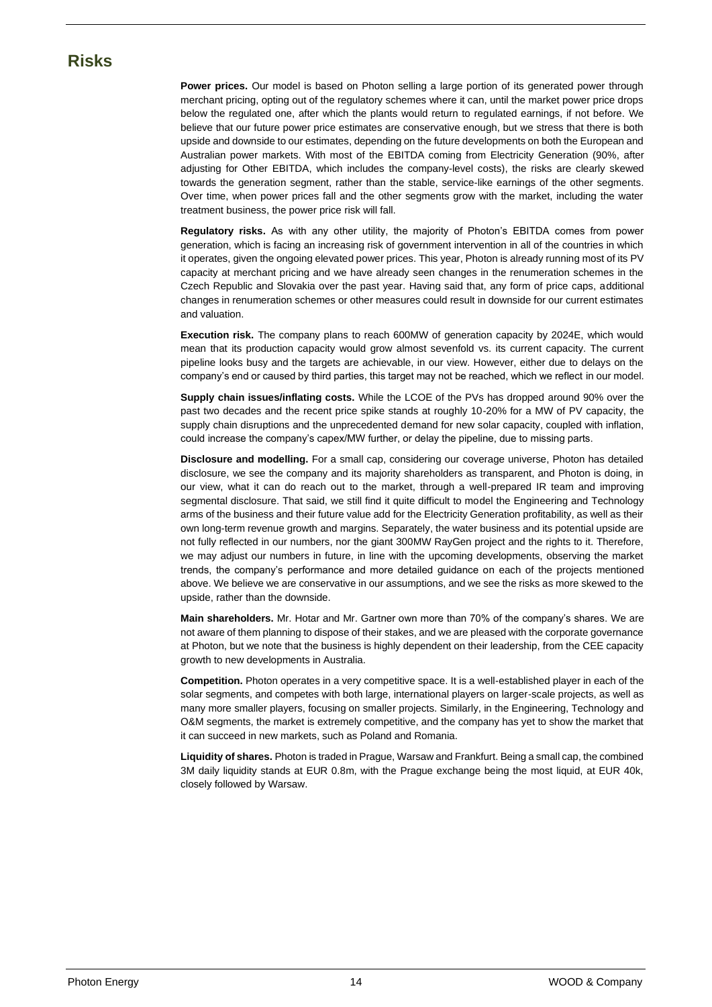# **Risks**

**Power prices.** Our model is based on Photon selling a large portion of its generated power through merchant pricing, opting out of the regulatory schemes where it can, until the market power price drops below the regulated one, after which the plants would return to regulated earnings, if not before. We believe that our future power price estimates are conservative enough, but we stress that there is both upside and downside to our estimates, depending on the future developments on both the European and Australian power markets. With most of the EBITDA coming from Electricity Generation (90%, after adjusting for Other EBITDA, which includes the company-level costs), the risks are clearly skewed towards the generation segment, rather than the stable, service-like earnings of the other segments. Over time, when power prices fall and the other segments grow with the market, including the water treatment business, the power price risk will fall.

**Regulatory risks.** As with any other utility, the majority of Photon's EBITDA comes from power generation, which is facing an increasing risk of government intervention in all of the countries in which it operates, given the ongoing elevated power prices. This year, Photon is already running most of its PV capacity at merchant pricing and we have already seen changes in the renumeration schemes in the Czech Republic and Slovakia over the past year. Having said that, any form of price caps, additional changes in renumeration schemes or other measures could result in downside for our current estimates and valuation.

**Execution risk.** The company plans to reach 600MW of generation capacity by 2024E, which would mean that its production capacity would grow almost sevenfold vs. its current capacity. The current pipeline looks busy and the targets are achievable, in our view. However, either due to delays on the company's end or caused by third parties, this target may not be reached, which we reflect in our model.

**Supply chain issues/inflating costs.** While the LCOE of the PVs has dropped around 90% over the past two decades and the recent price spike stands at roughly 10-20% for a MW of PV capacity, the supply chain disruptions and the unprecedented demand for new solar capacity, coupled with inflation, could increase the company's capex/MW further, or delay the pipeline, due to missing parts.

**Disclosure and modelling.** For a small cap, considering our coverage universe, Photon has detailed disclosure, we see the company and its majority shareholders as transparent, and Photon is doing, in our view, what it can do reach out to the market, through a well-prepared IR team and improving segmental disclosure. That said, we still find it quite difficult to model the Engineering and Technology arms of the business and their future value add for the Electricity Generation profitability, as well as their own long-term revenue growth and margins. Separately, the water business and its potential upside are not fully reflected in our numbers, nor the giant 300MW RayGen project and the rights to it. Therefore, we may adjust our numbers in future, in line with the upcoming developments, observing the market trends, the company's performance and more detailed guidance on each of the projects mentioned above. We believe we are conservative in our assumptions, and we see the risks as more skewed to the upside, rather than the downside.

**Main shareholders.** Mr. Hotar and Mr. Gartner own more than 70% of the company's shares. We are not aware of them planning to dispose of their stakes, and we are pleased with the corporate governance at Photon, but we note that the business is highly dependent on their leadership, from the CEE capacity growth to new developments in Australia.

**Competition.** Photon operates in a very competitive space. It is a well-established player in each of the solar segments, and competes with both large, international players on larger-scale projects, as well as many more smaller players, focusing on smaller projects. Similarly, in the Engineering, Technology and O&M segments, the market is extremely competitive, and the company has yet to show the market that it can succeed in new markets, such as Poland and Romania.

**Liquidity of shares.** Photon is traded in Prague, Warsaw and Frankfurt. Being a small cap, the combined 3M daily liquidity stands at EUR 0.8m, with the Prague exchange being the most liquid, at EUR 40k, closely followed by Warsaw.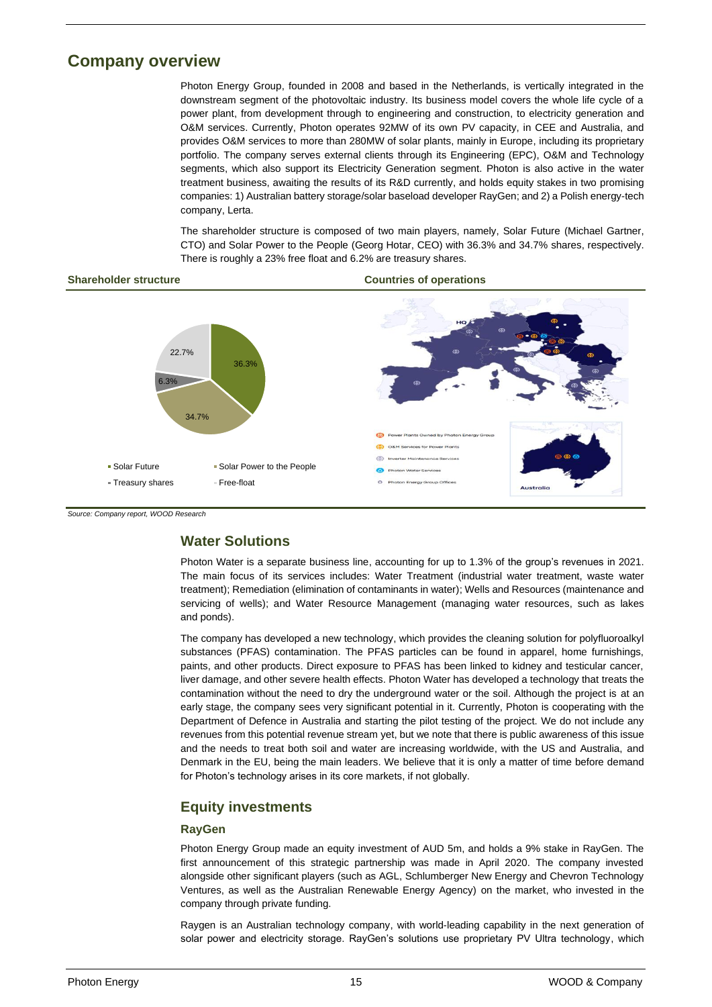# **Company overview**

Photon Energy Group, founded in 2008 and based in the Netherlands, is vertically integrated in the downstream segment of the photovoltaic industry. Its business model covers the whole life cycle of a power plant, from development through to engineering and construction, to electricity generation and O&M services. Currently, Photon operates 92MW of its own PV capacity, in CEE and Australia, and provides O&M services to more than 280MW of solar plants, mainly in Europe, including its proprietary portfolio. The company serves external clients through its Engineering (EPC), O&M and Technology segments, which also support its Electricity Generation segment. Photon is also active in the water treatment business, awaiting the results of its R&D currently, and holds equity stakes in two promising companies: 1) Australian battery storage/solar baseload developer RayGen; and 2) a Polish energy-tech company, Lerta.

The shareholder structure is composed of two main players, namely, Solar Future (Michael Gartner, CTO) and Solar Power to the People (Georg Hotar, CEO) with 36.3% and 34.7% shares, respectively. There is roughly a 23% free float and 6.2% are treasury shares.



*Source: Company report, WOOD Research*

# **Water Solutions**

Photon Water is a separate business line, accounting for up to 1.3% of the group's revenues in 2021. The main focus of its services includes: Water Treatment (industrial water treatment, waste water treatment); Remediation (elimination of contaminants in water); Wells and Resources (maintenance and servicing of wells); and Water Resource Management (managing water resources, such as lakes and ponds).

The company has developed a new technology, which provides the cleaning solution for polyfluoroalkyl substances (PFAS) contamination. The PFAS particles can be found in apparel, home furnishings, paints, and other products. Direct exposure to PFAS has been linked to kidney and testicular cancer, liver damage, and other severe health effects. Photon Water has developed a technology that treats the contamination without the need to dry the underground water or the soil. Although the project is at an early stage, the company sees very significant potential in it. Currently, Photon is cooperating with the Department of Defence in Australia and starting the pilot testing of the project. We do not include any revenues from this potential revenue stream yet, but we note that there is public awareness of this issue and the needs to treat both soil and water are increasing worldwide, with the US and Australia, and Denmark in the EU, being the main leaders. We believe that it is only a matter of time before demand for Photon's technology arises in its core markets, if not globally.

# **Equity investments**

# **RayGen**

Photon Energy Group made an equity investment of AUD 5m, and holds a 9% stake in RayGen. The first announcement of this strategic partnership was made in April 2020. The company invested alongside other significant players (such as AGL, Schlumberger New Energy and Chevron Technology Ventures, as well as the Australian Renewable Energy Agency) on the market, who invested in the company through private funding.

Raygen is an Australian technology company, with world-leading capability in the next generation of solar power and electricity storage. RayGen's solutions use proprietary PV Ultra technology, which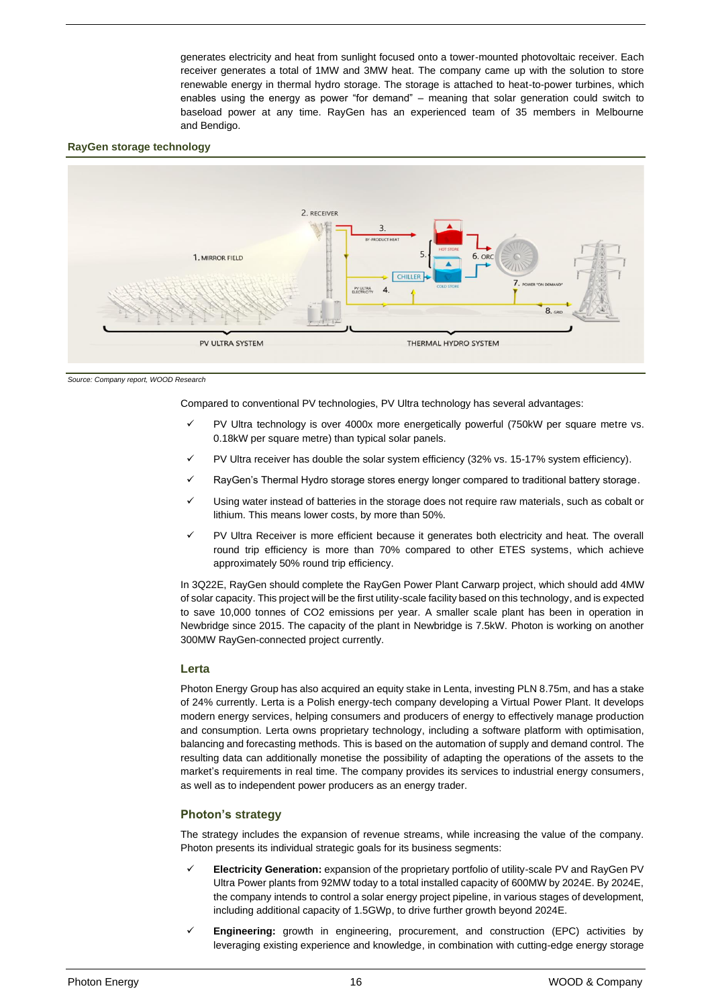generates electricity and heat from sunlight focused onto a tower-mounted photovoltaic receiver. Each receiver generates a total of 1MW and 3MW heat. The company came up with the solution to store renewable energy in thermal hydro storage. The storage is attached to heat-to-power turbines, which enables using the energy as power "for demand" – meaning that solar generation could switch to baseload power at any time. RayGen has an experienced team of 35 members in Melbourne and Bendigo.

# **RayGen storage technology**



*Source: Company report, WOOD Research*

Compared to conventional PV technologies, PV Ultra technology has several advantages:

- ✓ PV Ultra technology is over 4000x more energetically powerful (750kW per square metre vs. 0.18kW per square metre) than typical solar panels.
- PV Ultra receiver has double the solar system efficiency (32% vs. 15-17% system efficiency).
- RayGen's Thermal Hydro storage stores energy longer compared to traditional battery storage.
- Using water instead of batteries in the storage does not require raw materials, such as cobalt or lithium. This means lower costs, by more than 50%.
- PV Ultra Receiver is more efficient because it generates both electricity and heat. The overall round trip efficiency is more than 70% compared to other ETES systems, which achieve approximately 50% round trip efficiency.

In 3Q22E, RayGen should complete the RayGen Power Plant Carwarp project, which should add 4MW of solar capacity. This project will be the first utility-scale facility based on this technology, and is expected to save 10,000 tonnes of CO2 emissions per year. A smaller scale plant has been in operation in Newbridge since 2015. The capacity of the plant in Newbridge is 7.5kW. Photon is working on another 300MW RayGen-connected project currently.

# **Lerta**

Photon Energy Group has also acquired an equity stake in Lenta, investing PLN 8.75m, and has a stake of 24% currently. Lerta is a Polish energy-tech company developing a Virtual Power Plant. It develops modern energy services, helping consumers and producers of energy to effectively manage production and consumption. Lerta owns proprietary technology, including a software platform with optimisation, balancing and forecasting methods. This is based on the automation of supply and demand control. The resulting data can additionally monetise the possibility of adapting the operations of the assets to the market's requirements in real time. The company provides its services to industrial energy consumers, as well as to independent power producers as an energy trader.

# **Photon's strategy**

The strategy includes the expansion of revenue streams, while increasing the value of the company. Photon presents its individual strategic goals for its business segments:

- Electricity Generation: expansion of the proprietary portfolio of utility-scale PV and RayGen PV Ultra Power plants from 92MW today to a total installed capacity of 600MW by 2024E. By 2024E, the company intends to control a solar energy project pipeline, in various stages of development, including additional capacity of 1.5GWp, to drive further growth beyond 2024E.
- ✓ **Engineering:** growth in engineering, procurement, and construction (EPC) activities by leveraging existing experience and knowledge, in combination with cutting-edge energy storage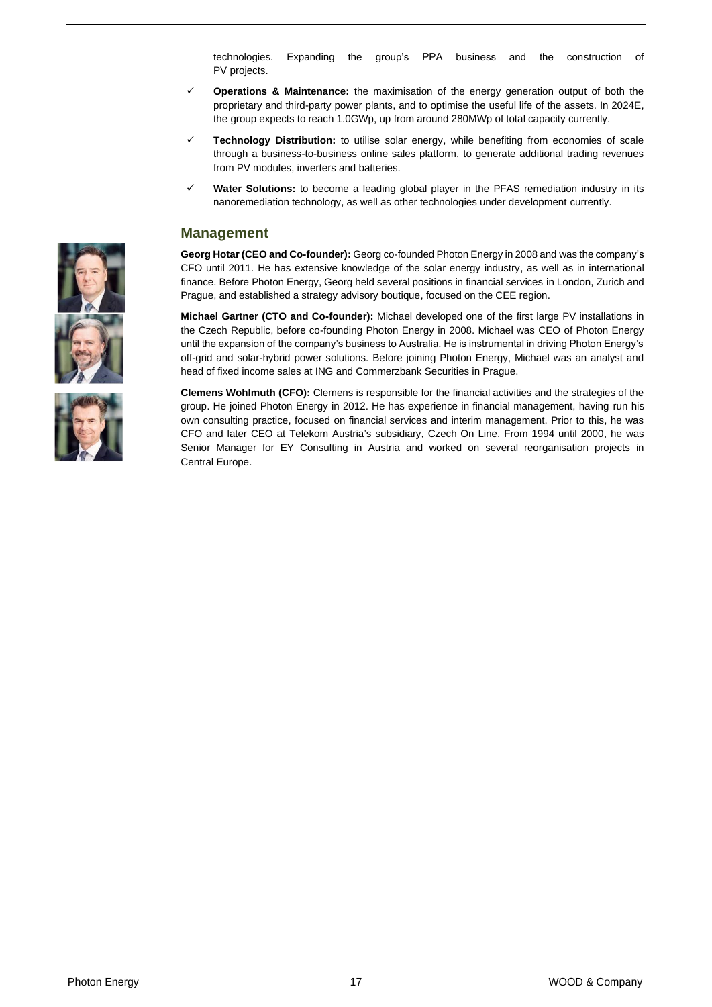technologies. Expanding the group's PPA business and the construction of PV projects.

- **Operations & Maintenance:** the maximisation of the energy generation output of both the proprietary and third-party power plants, and to optimise the useful life of the assets. In 2024E, the group expects to reach 1.0GWp, up from around 280MWp of total capacity currently.
- Technology Distribution: to utilise solar energy, while benefiting from economies of scale through a business-to-business online sales platform, to generate additional trading revenues from PV modules, inverters and batteries.
- Water Solutions: to become a leading global player in the PFAS remediation industry in its nanoremediation technology, as well as other technologies under development currently.

# **Management**

**Georg Hotar (CEO and Co-founder):** Georg co-founded Photon Energy in 2008 and was the company's CFO until 2011. He has extensive knowledge of the solar energy industry, as well as in international finance. Before Photon Energy, Georg held several positions in financial services in London, Zurich and Prague, and established a strategy advisory boutique, focused on the CEE region.

**Michael Gartner (CTO and Co-founder):** Michael developed one of the first large PV installations in the Czech Republic, before co-founding Photon Energy in 2008. Michael was CEO of Photon Energy until the expansion of the company's business to Australia. He is instrumental in driving Photon Energy's off-grid and solar-hybrid power solutions. Before joining Photon Energy, Michael was an analyst and head of fixed income sales at ING and Commerzbank Securities in Prague.

**Clemens Wohlmuth (CFO):** Clemens is responsible for the financial activities and the strategies of the group. He joined Photon Energy in 2012. He has experience in financial management, having run his own consulting practice, focused on financial services and interim management. Prior to this, he was CFO and later CEO at Telekom Austria's subsidiary, Czech On Line. From 1994 until 2000, he was Senior Manager for EY Consulting in Austria and worked on several reorganisation projects in Central Europe.



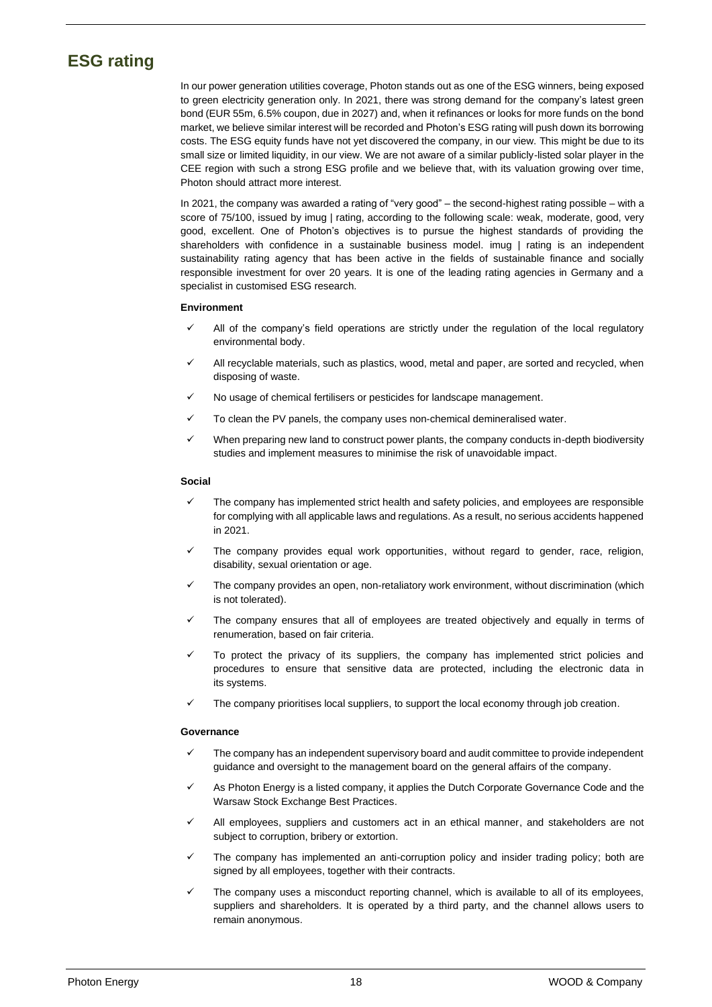# **ESG rating**

In our power generation utilities coverage, Photon stands out as one of the ESG winners, being exposed to green electricity generation only. In 2021, there was strong demand for the company's latest green bond (EUR 55m, 6.5% coupon, due in 2027) and, when it refinances or looks for more funds on the bond market, we believe similar interest will be recorded and Photon's ESG rating will push down its borrowing costs. The ESG equity funds have not yet discovered the company, in our view. This might be due to its small size or limited liquidity, in our view. We are not aware of a similar publicly-listed solar player in the CEE region with such a strong ESG profile and we believe that, with its valuation growing over time, Photon should attract more interest.

In 2021, the company was awarded a rating of "very good" – the second-highest rating possible – with a score of 75/100, issued by imug | rating, according to the following scale: weak, moderate, good, very good, excellent. One of Photon's objectives is to pursue the highest standards of providing the shareholders with confidence in a sustainable business model. imug | rating is an independent sustainability rating agency that has been active in the fields of sustainable finance and socially responsible investment for over 20 years. It is one of the leading rating agencies in Germany and a specialist in customised ESG research.

# **Environment**

- All of the company's field operations are strictly under the regulation of the local regulatory environmental body.
- All recyclable materials, such as plastics, wood, metal and paper, are sorted and recycled, when disposing of waste.
- No usage of chemical fertilisers or pesticides for landscape management.
- To clean the PV panels, the company uses non-chemical demineralised water.
- When preparing new land to construct power plants, the company conducts in-depth biodiversity studies and implement measures to minimise the risk of unavoidable impact.

# **Social**

- The company has implemented strict health and safety policies, and employees are responsible for complying with all applicable laws and regulations. As a result, no serious accidents happened in 2021.
- The company provides equal work opportunities, without regard to gender, race, religion, disability, sexual orientation or age.
- The company provides an open, non-retaliatory work environment, without discrimination (which is not tolerated).
- The company ensures that all of employees are treated objectively and equally in terms of renumeration, based on fair criteria.
- To protect the privacy of its suppliers, the company has implemented strict policies and procedures to ensure that sensitive data are protected, including the electronic data in its systems.
- The company prioritises local suppliers, to support the local economy through job creation.

# **Governance**

- The company has an independent supervisory board and audit committee to provide independent guidance and oversight to the management board on the general affairs of the company.
- As Photon Energy is a listed company, it applies the Dutch Corporate Governance Code and the Warsaw Stock Exchange Best Practices.
- All employees, suppliers and customers act in an ethical manner, and stakeholders are not subject to corruption, bribery or extortion.
- The company has implemented an anti-corruption policy and insider trading policy; both are signed by all employees, together with their contracts.
- The company uses a misconduct reporting channel, which is available to all of its employees, suppliers and shareholders. It is operated by a third party, and the channel allows users to remain anonymous.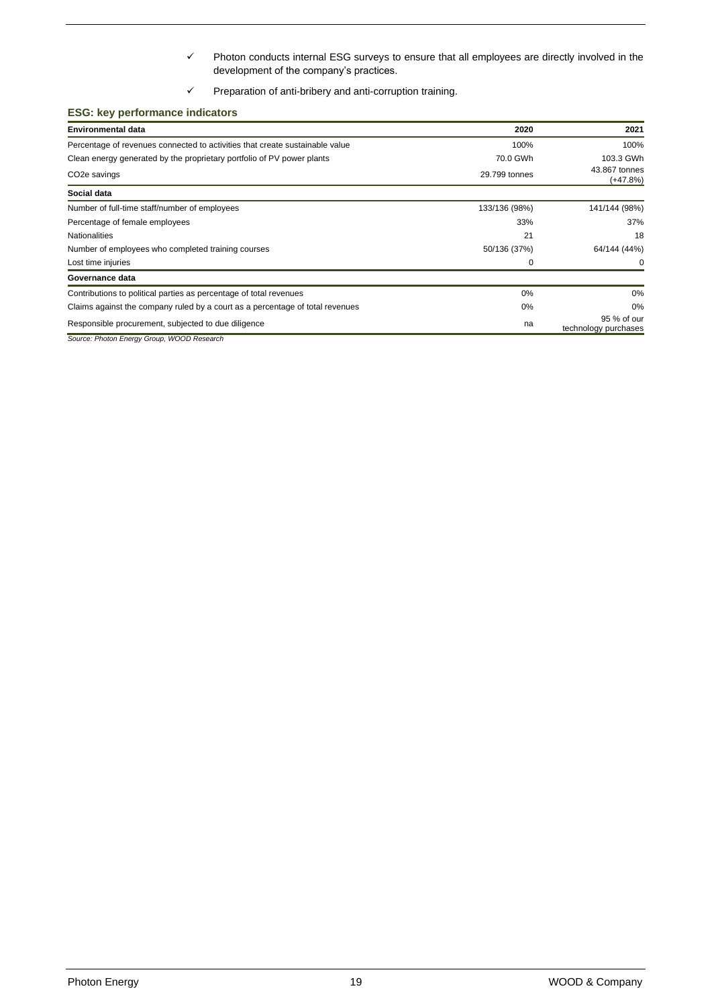- ✓ Photon conducts internal ESG surveys to ensure that all employees are directly involved in the development of the company's practices.
- $\checkmark$  Preparation of anti-bribery and anti-corruption training.

# **ESG: key performance indicators**

| <b>Environmental data</b>                                                     | 2020          | 2021                                |
|-------------------------------------------------------------------------------|---------------|-------------------------------------|
| Percentage of revenues connected to activities that create sustainable value  | 100%          | 100%                                |
| Clean energy generated by the proprietary portfolio of PV power plants        | 70.0 GWh      | 103.3 GWh                           |
| CO <sub>2</sub> e savings                                                     | 29.799 tonnes | 43.867 tonnes<br>$(+47.8%)$         |
| Social data                                                                   |               |                                     |
| Number of full-time staff/number of employees                                 | 133/136 (98%) | 141/144 (98%)                       |
| Percentage of female employees                                                | 33%           | 37%                                 |
| <b>Nationalities</b>                                                          | 21            | 18                                  |
| Number of employees who completed training courses                            | 50/136 (37%)  | 64/144 (44%)                        |
| Lost time injuries                                                            | 0             | $\Omega$                            |
| Governance data                                                               |               |                                     |
| Contributions to political parties as percentage of total revenues            | 0%            | 0%                                  |
| Claims against the company ruled by a court as a percentage of total revenues | 0%            | 0%                                  |
| Responsible procurement, subjected to due diligence                           | na            | 95 % of our<br>technology purchases |

*Source: Photon Energy Group, WOOD Research*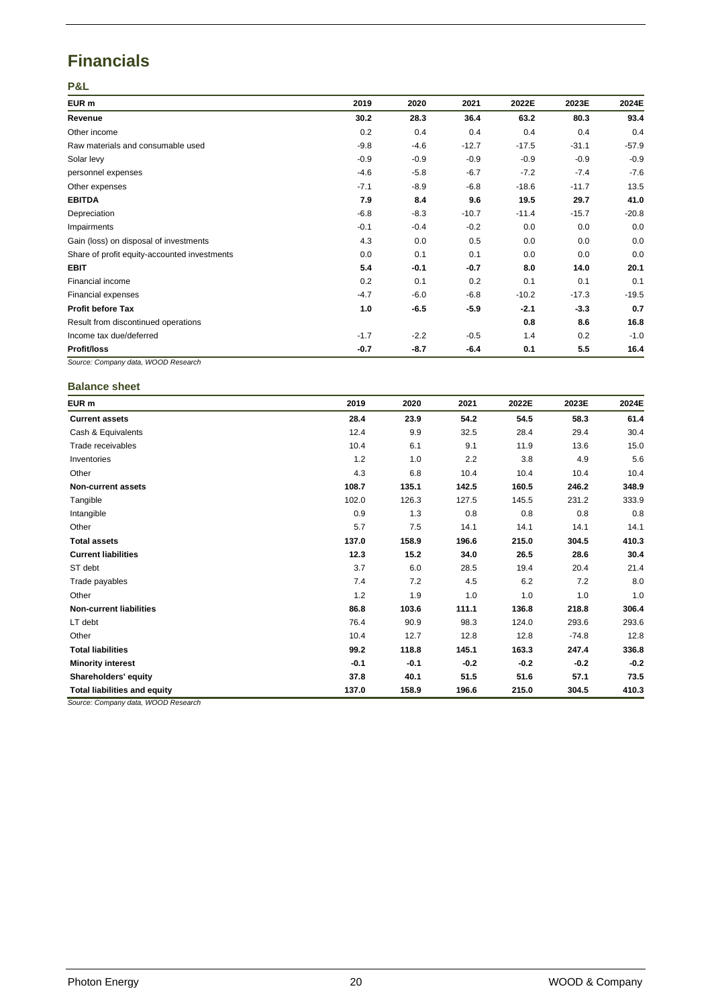# **Financials**

**P&L**

| EUR m                                        | 2019   | 2020   | 2021    | 2022E   | 2023E   | 2024E   |
|----------------------------------------------|--------|--------|---------|---------|---------|---------|
| Revenue                                      | 30.2   | 28.3   | 36.4    | 63.2    | 80.3    | 93.4    |
| Other income                                 | 0.2    | 0.4    | 0.4     | 0.4     | 0.4     | 0.4     |
| Raw materials and consumable used            | $-9.8$ | $-4.6$ | $-12.7$ | $-17.5$ | $-31.1$ | $-57.9$ |
| Solar levy                                   | $-0.9$ | $-0.9$ | $-0.9$  | $-0.9$  | $-0.9$  | $-0.9$  |
| personnel expenses                           | $-4.6$ | $-5.8$ | $-6.7$  | $-7.2$  | $-7.4$  | $-7.6$  |
| Other expenses                               | $-7.1$ | $-8.9$ | $-6.8$  | $-18.6$ | $-11.7$ | 13.5    |
| <b>EBITDA</b>                                | 7.9    | 8.4    | 9.6     | 19.5    | 29.7    | 41.0    |
| Depreciation                                 | $-6.8$ | $-8.3$ | $-10.7$ | $-11.4$ | $-15.7$ | $-20.8$ |
| Impairments                                  | $-0.1$ | $-0.4$ | $-0.2$  | 0.0     | 0.0     | 0.0     |
| Gain (loss) on disposal of investments       | 4.3    | 0.0    | 0.5     | 0.0     | 0.0     | 0.0     |
| Share of profit equity-accounted investments | 0.0    | 0.1    | 0.1     | 0.0     | 0.0     | 0.0     |
| <b>EBIT</b>                                  | 5.4    | $-0.1$ | $-0.7$  | 8.0     | 14.0    | 20.1    |
| Financial income                             | 0.2    | 0.1    | 0.2     | 0.1     | 0.1     | 0.1     |
| Financial expenses                           | $-4.7$ | $-6.0$ | $-6.8$  | $-10.2$ | $-17.3$ | $-19.5$ |
| <b>Profit before Tax</b>                     | 1.0    | $-6.5$ | $-5.9$  | $-2.1$  | $-3.3$  | 0.7     |
| Result from discontinued operations          |        |        |         | 0.8     | 8.6     | 16.8    |
| Income tax due/deferred                      | $-1.7$ | $-2.2$ | $-0.5$  | 1.4     | 0.2     | $-1.0$  |
| <b>Profit/loss</b>                           | $-0.7$ | $-8.7$ | $-6.4$  | 0.1     | 5.5     | 16.4    |
| Source: Company data, WOOD Research          |        |        |         |         |         |         |

**Balance sheet**

| EUR m                               | 2019   | 2020   | 2021   | 2022E  | 2023E   | 2024E  |
|-------------------------------------|--------|--------|--------|--------|---------|--------|
| <b>Current assets</b>               | 28.4   | 23.9   | 54.2   | 54.5   | 58.3    | 61.4   |
| Cash & Equivalents                  | 12.4   | 9.9    | 32.5   | 28.4   | 29.4    | 30.4   |
| Trade receivables                   | 10.4   | 6.1    | 9.1    | 11.9   | 13.6    | 15.0   |
| Inventories                         | $1.2$  | 1.0    | 2.2    | 3.8    | 4.9     | 5.6    |
| Other                               | 4.3    | 6.8    | 10.4   | 10.4   | 10.4    | 10.4   |
| <b>Non-current assets</b>           | 108.7  | 135.1  | 142.5  | 160.5  | 246.2   | 348.9  |
| Tangible                            | 102.0  | 126.3  | 127.5  | 145.5  | 231.2   | 333.9  |
| Intangible                          | 0.9    | 1.3    | 0.8    | 0.8    | 0.8     | 0.8    |
| Other                               | 5.7    | 7.5    | 14.1   | 14.1   | 14.1    | 14.1   |
| <b>Total assets</b>                 | 137.0  | 158.9  | 196.6  | 215.0  | 304.5   | 410.3  |
| <b>Current liabilities</b>          | 12.3   | 15.2   | 34.0   | 26.5   | 28.6    | 30.4   |
| ST debt                             | 3.7    | 6.0    | 28.5   | 19.4   | 20.4    | 21.4   |
| Trade payables                      | 7.4    | 7.2    | 4.5    | 6.2    | 7.2     | 8.0    |
| Other                               | $1.2$  | 1.9    | 1.0    | 1.0    | 1.0     | 1.0    |
| <b>Non-current liabilities</b>      | 86.8   | 103.6  | 111.1  | 136.8  | 218.8   | 306.4  |
| LT debt                             | 76.4   | 90.9   | 98.3   | 124.0  | 293.6   | 293.6  |
| Other                               | 10.4   | 12.7   | 12.8   | 12.8   | $-74.8$ | 12.8   |
| <b>Total liabilities</b>            | 99.2   | 118.8  | 145.1  | 163.3  | 247.4   | 336.8  |
| <b>Minority interest</b>            | $-0.1$ | $-0.1$ | $-0.2$ | $-0.2$ | $-0.2$  | $-0.2$ |
| Shareholders' equity                | 37.8   | 40.1   | 51.5   | 51.6   | 57.1    | 73.5   |
| <b>Total liabilities and equity</b> | 137.0  | 158.9  | 196.6  | 215.0  | 304.5   | 410.3  |

*Source: Company data, WOOD Research*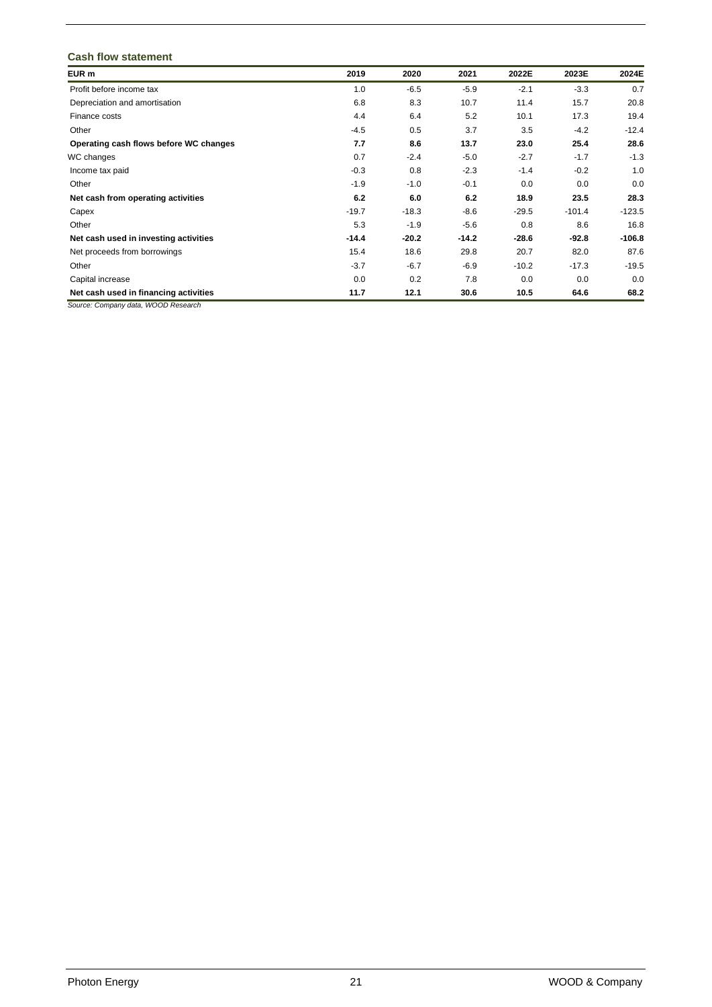# **Cash flow statement**

| EUR m                                  | 2019    | 2020    | 2021    | 2022E   | 2023E    | 2024E    |
|----------------------------------------|---------|---------|---------|---------|----------|----------|
| Profit before income tax               | 1.0     | $-6.5$  | $-5.9$  | $-2.1$  | $-3.3$   | 0.7      |
| Depreciation and amortisation          | 6.8     | 8.3     | 10.7    | 11.4    | 15.7     | 20.8     |
| Finance costs                          | 4.4     | 6.4     | 5.2     | 10.1    | 17.3     | 19.4     |
| Other                                  | $-4.5$  | 0.5     | 3.7     | 3.5     | $-4.2$   | $-12.4$  |
| Operating cash flows before WC changes | 7.7     | 8.6     | 13.7    | 23.0    | 25.4     | 28.6     |
| WC changes                             | 0.7     | $-2.4$  | $-5.0$  | $-2.7$  | $-1.7$   | $-1.3$   |
| Income tax paid                        | $-0.3$  | 0.8     | $-2.3$  | $-1.4$  | $-0.2$   | 1.0      |
| Other                                  | $-1.9$  | $-1.0$  | $-0.1$  | 0.0     | 0.0      | 0.0      |
| Net cash from operating activities     | 6.2     | 6.0     | 6.2     | 18.9    | 23.5     | 28.3     |
| Capex                                  | $-19.7$ | $-18.3$ | $-8.6$  | $-29.5$ | $-101.4$ | $-123.5$ |
| Other                                  | 5.3     | $-1.9$  | $-5.6$  | 0.8     | 8.6      | 16.8     |
| Net cash used in investing activities  | $-14.4$ | $-20.2$ | $-14.2$ | $-28.6$ | $-92.8$  | $-106.8$ |
| Net proceeds from borrowings           | 15.4    | 18.6    | 29.8    | 20.7    | 82.0     | 87.6     |
| Other                                  | $-3.7$  | $-6.7$  | $-6.9$  | $-10.2$ | $-17.3$  | $-19.5$  |
| Capital increase                       | 0.0     | 0.2     | 7.8     | 0.0     | 0.0      | 0.0      |
| Net cash used in financing activities  | 11.7    | 12.1    | 30.6    | 10.5    | 64.6     | 68.2     |

*Source: Company data, WOOD Research*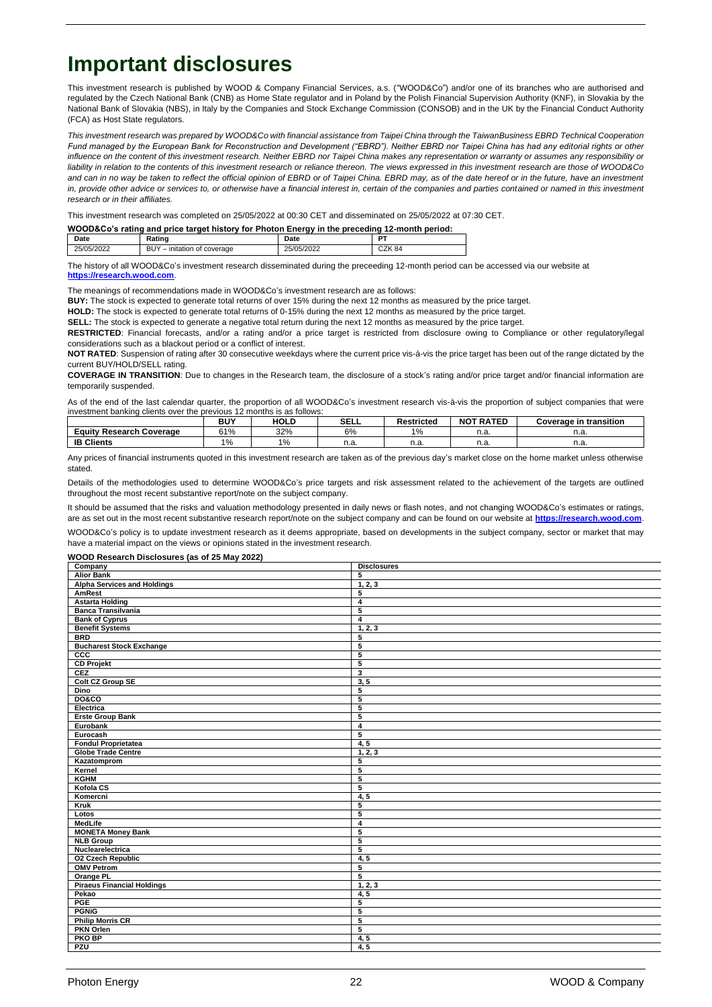# **Important disclosures**

This investment research is published by WOOD & Company Financial Services, a.s. ("WOOD&Co") and/or one of its branches who are authorised and regulated by the Czech National Bank (CNB) as Home State regulator and in Poland by the Polish Financial Supervision Authority (KNF), in Slovakia by the National Bank of Slovakia (NBS), in Italy by the Companies and Stock Exchange Commission (CONSOB) and in the UK by the Financial Conduct Authority (FCA) as Host State regulators.

*This investment research was prepared by WOOD&Co with financial assistance from Taipei China through the TaiwanBusiness EBRD Technical Cooperation Fund managed by the European Bank for Reconstruction and Development ("EBRD"). Neither EBRD nor Taipei China has had any editorial rights or other*  influence on the content of this investment research. Neither EBRD nor Taipei China makes any representation or warranty or assumes any responsibility or *liability in relation to the contents of this investment research or reliance thereon. The views expressed in this investment research are those of WOOD&Co*  and can in no way be taken to reflect the official opinion of EBRD or of Taipei China. EBRD may, as of the date hereof or in the future, have an investment *in, provide other advice or services to, or otherwise have a financial interest in, certain of the companies and parties contained or named in this investment research or in their affiliates.*

This investment research was completed on 25/05/2022 at 00:30 CET and disseminated on 25/05/2022 at 07:30 CET.

| WOOD&Co's rating and price target history for Photon Energy in the preceding 12-month period: |                             |            |          |  |  |  |
|-----------------------------------------------------------------------------------------------|-----------------------------|------------|----------|--|--|--|
| Date                                                                                          | Rating                      | Date       | DТ       |  |  |  |
| 25/05/2022                                                                                    | RHV - initation of coverage | 25/05/2022 | $CZK$ 84 |  |  |  |

BUY – initation of coverage  $\mathbf{I}$ The history of all WOOD&Co's investment research disseminated during the preceeding 12-month period can be accessed via our website at

### **[https://research.wood.com](https://research.wood.com/)**.

The meanings of recommendations made in WOOD&Co's investment research are as follows:

**BUY:** The stock is expected to generate total returns of over 15% during the next 12 months as measured by the price target.

**HOLD:** The stock is expected to generate total returns of 0-15% during the next 12 months as measured by the price target.

**SELL:** The stock is expected to generate a negative total return during the next 12 months as measured by the price target.

**RESTRICTED**: Financial forecasts, and/or a rating and/or a price target is restricted from disclosure owing to Compliance or other regulatory/legal considerations such as a blackout period or a conflict of interest.

**NOT RATED**: Suspension of rating after 30 consecutive weekdays where the current price vis-à-vis the price target has been out of the range dictated by the current BUY/HOLD/SELL rating.

**COVERAGE IN TRANSITION**: Due to changes in the Research team, the disclosure of a stock's rating and/or price target and/or financial information are temporarily suspended.

As of the end of the last calendar quarter, the proportion of all WOOD&Co's investment research vis-à-vis the proportion of subject companies that were investment banking clients over the previous 12 months is as follows:

|                                | <b>BUY</b> | <b>HOLD</b> | <b>SELL</b> | Restricted                      | <b>NOT RATED</b> | <b>Coverage in transition</b> |
|--------------------------------|------------|-------------|-------------|---------------------------------|------------------|-------------------------------|
| Research<br>Coverage<br>Eauity | 61%        | 32%         | 6%          | 10/<br>$\overline{\phantom{a}}$ | n.a              | н.а                           |
| <b>IB Clients</b>              | 10/        | 10<br>70    | n.<br>н.а.  | 1.d.                            | n.a              | н.а                           |

Any prices of financial instruments quoted in this investment research are taken as of the previous day's market close on the home market unless otherwise stated.

Details of the methodologies used to determine WOOD&Co's price targets and risk assessment related to the achievement of the targets are outlined throughout the most recent substantive report/note on the subject company.

It should be assumed that the risks and valuation methodology presented in daily news or flash notes, and not changing WOOD&Co's estimates or ratings, are as set out in the most recent substantive research report/note on the subject company and can be found on our website at **[https://research.wood.com](https://research.wood.com/)**.

WOOD&Co's policy is to update investment research as it deems appropriate, based on developments in the subject company, sector or market that may have a material impact on the views or opinions stated in the investment research.

#### **WOOD Research Disclosures (as of 25 May 2022)**

| Company                                          | <b>Disclosures</b> |
|--------------------------------------------------|--------------------|
| <b>Alior Bank</b><br>5                           |                    |
| <b>Alpha Services and Holdings</b><br>1, 2, 3    |                    |
| AmRest<br>5                                      |                    |
| $\overline{4}$<br><b>Astarta Holding</b>         |                    |
| 5<br><b>Banca Transilvania</b>                   |                    |
| <b>Bank of Cyprus</b><br>$\overline{\mathbf{4}}$ |                    |
| <b>Benefit Systems</b><br>1, 2, 3                |                    |
| <b>BRD</b><br>5                                  |                    |
| <b>Bucharest Stock Exchange</b><br>5             |                    |
| ccc<br>5                                         |                    |
| <b>CD Projekt</b><br>5                           |                    |
| <b>CEZ</b><br>3                                  |                    |
| <b>Colt CZ Group SE</b><br>3, 5                  |                    |
| 5<br>Dino                                        |                    |
| <b>DO&amp;CO</b><br>5                            |                    |
| Electrica<br>5                                   |                    |
| 5<br><b>Erste Group Bank</b>                     |                    |
| Eurobank<br>$\overline{\mathbf{4}}$              |                    |
| Eurocash<br>5                                    |                    |
| <b>Fondul Proprietatea</b><br>4, 5               |                    |
| 1, 2, 3<br><b>Globe Trade Centre</b>             |                    |
| Kazatomprom<br>5                                 |                    |
| 5<br>Kernel                                      |                    |
| <b>KGHM</b><br>5                                 |                    |
| Kofola CS<br>5                                   |                    |
| Komercni<br>4, 5                                 |                    |
| <b>Kruk</b><br>5                                 |                    |
| 5<br>Lotos                                       |                    |
| MedLife<br>$\overline{\mathbf{4}}$               |                    |
| <b>MONETA Money Bank</b><br>5                    |                    |
| <b>NLB Group</b><br>5                            |                    |
| Nuclearelectrica<br>5                            |                    |
| <b>02 Czech Republic</b><br>4, 5                 |                    |
| <b>OMV Petrom</b><br>5                           |                    |
| Orange PL<br>5                                   |                    |
| <b>Piraeus Financial Holdings</b><br>1, 2, 3     |                    |
| Pekao<br>4, 5                                    |                    |
| PGE<br>5                                         |                    |
| <b>PGNIG</b><br>5                                |                    |
| <b>Philip Morris CR</b><br>5                     |                    |
|                                                  |                    |
| <b>PKN Orlen</b><br>5                            |                    |
| PKO BP<br>4, 5<br>PZU<br>4, 5                    |                    |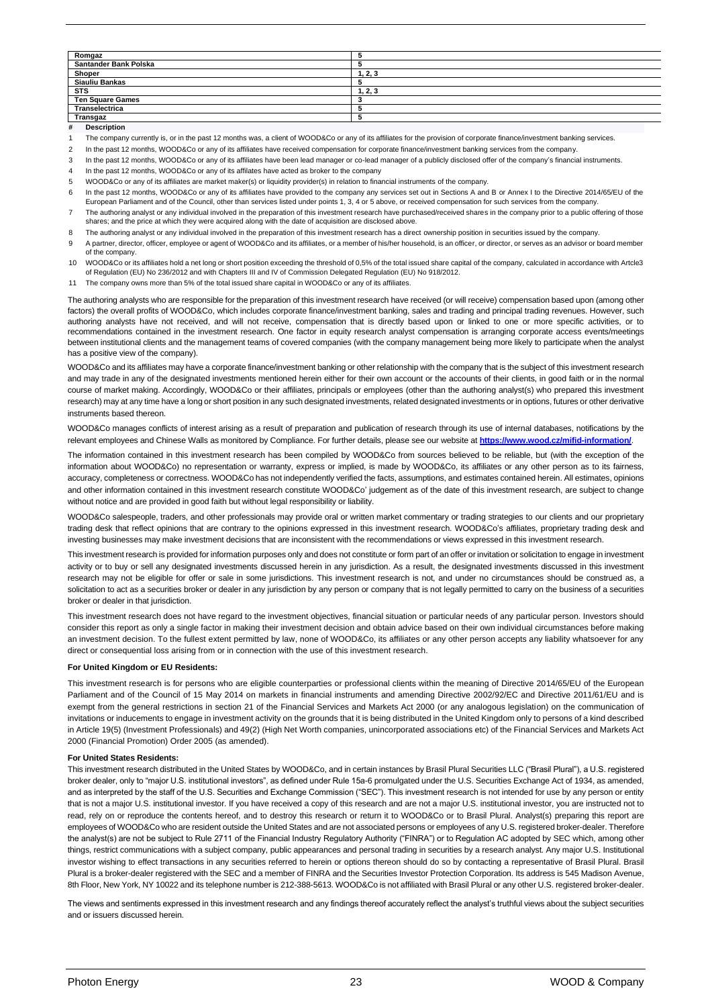| Romgaz                  |         |
|-------------------------|---------|
| Santander Bank Polska   |         |
| Shoper                  | 1, 2, 3 |
| <b>Siauliu Bankas</b>   |         |
| <b>STS</b>              | 1, 2, 3 |
| <b>Ten Square Games</b> |         |
| Transelectrica          |         |
| <b>Transgaz</b>         |         |

**# Description**

- The company currently is, or in the past 12 months was, a client of WOOD&Co or any of its affiliates for the provision of corporate finance/investment banking services.
- 2 In the past 12 months, WOOD&Co or any of its affiliates have received compensation for corporate finance/investment banking services from the company.
- 3 In the past 12 months, WOOD&Co or any of its affiliates have been lead manager or co-lead manager of a publicly disclosed offer of the company's financial instruments.
- 4 In the past 12 months, WOOD&Co or any of its affilates have acted as broker to the company
- 5 WOOD&Co or any of its affiliates are market maker(s) or liquidity provider(s) in relation to financial instruments of the company.
- 6 In the past 12 months, WOOD&Co or any of its affiliates have provided to the company any services set out in Sections A and B or Annex I to the Directive 2014/65/EU of the European Parliament and of the Council, other than services listed under points 1, 3, 4 or 5 above, or received compensation for such services from the company.
- 7 The authoring analyst or any individual involved in the preparation of this investment research have purchased/received shares in the company prior to a public offering of those shares; and the price at which they were acquired along with the date of acquisition are disclosed above.
- 8 The authoring analyst or any individual involved in the preparation of this investment research has a direct ownership position in securities issued by the company.
- 9 A partner, director, officer, employee or agent of WOOD&Co and its affiliates, or a member of his/her household, is an officer, or director, or serves as an advisor or board member of the company.
- 10 WOOD&Co or its affiliates hold a net long or short position exceeding the threshold of 0,5% of the total issued share capital of the company, calculated in accordance with Artcle3 of Regulation (EU) No 236/2012 and with Chapters III and IV of Commission Delegated Regulation (EU) No 918/2012.
- 11 The company owns more than 5% of the total issued share capital in WOOD&Co or any of its affiliates.

The authoring analysts who are responsible for the preparation of this investment research have received (or will receive) compensation based upon (among other factors) the overall profits of WOOD&Co, which includes corporate finance/investment banking, sales and trading and principal trading revenues. However, such authoring analysts have not received, and will not receive, compensation that is directly based upon or linked to one or more specific activities, or to recommendations contained in the investment research. One factor in equity research analyst compensation is arranging corporate access events/meetings between institutional clients and the management teams of covered companies (with the company management being more likely to participate when the analyst has a positive view of the company).

WOOD&Co and its affiliates may have a corporate finance/investment banking or other relationship with the company that is the subject of this investment research and may trade in any of the designated investments mentioned herein either for their own account or the accounts of their clients, in good faith or in the normal course of market making. Accordingly, WOOD&Co or their affiliates, principals or employees (other than the authoring analyst(s) who prepared this investment research) may at any time have a long or short position in any such designated investments, related designated investments or in options, futures or other derivative instruments based thereon.

WOOD&Co manages conflicts of interest arising as a result of preparation and publication of research through its use of internal databases, notifications by the relevant employees and Chinese Walls as monitored by Compliance. For further details, please see our website at **https://www.wood.cz/mifid-information/**.

The information contained in this investment research has been compiled by WOOD&Co from sources believed to be reliable, but (with the exception of the information about WOOD&Co) no representation or warranty, express or implied, is made by WOOD&Co, its affiliates or any other person as to its fairness, accuracy, completeness or correctness. WOOD&Co has not independently verified the facts, assumptions, and estimates contained herein. All estimates, opinions and other information contained in this investment research constitute WOOD&Co' judgement as of the date of this investment research, are subject to change without notice and are provided in good faith but without legal responsibility or liability.

WOOD&Co salespeople, traders, and other professionals may provide oral or written market commentary or trading strategies to our clients and our proprietary trading desk that reflect opinions that are contrary to the opinions expressed in this investment research. WOOD&Co's affiliates, proprietary trading desk and investing businesses may make investment decisions that are inconsistent with the recommendations or views expressed in this investment research.

This investment research is provided for information purposes only and does not constitute or form part of an offer or invitation or solicitation to engage in investment activity or to buy or sell any designated investments discussed herein in any jurisdiction. As a result, the designated investments discussed in this investment research may not be eligible for offer or sale in some jurisdictions. This investment research is not, and under no circumstances should be construed as, a solicitation to act as a securities broker or dealer in any jurisdiction by any person or company that is not legally permitted to carry on the business of a securities broker or dealer in that jurisdiction.

This investment research does not have regard to the investment objectives, financial situation or particular needs of any particular person. Investors should consider this report as only a single factor in making their investment decision and obtain advice based on their own individual circumstances before making an investment decision. To the fullest extent permitted by law, none of WOOD&Co, its affiliates or any other person accepts any liability whatsoever for any direct or consequential loss arising from or in connection with the use of this investment research.

#### **For United Kingdom or EU Residents:**

This investment research is for persons who are eligible counterparties or professional clients within the meaning of Directive 2014/65/EU of the European Parliament and of the Council of 15 May 2014 on markets in financial instruments and amending Directive 2002/92/EC and Directive 2011/61/EU and is exempt from the general restrictions in section 21 of the Financial Services and Markets Act 2000 (or any analogous legislation) on the communication of invitations or inducements to engage in investment activity on the grounds that it is being distributed in the United Kingdom only to persons of a kind described in Article 19(5) (Investment Professionals) and 49(2) (High Net Worth companies, unincorporated associations etc) of the Financial Services and Markets Act 2000 (Financial Promotion) Order 2005 (as amended).

#### **For United States Residents:**

This investment research distributed in the United States by WOOD&Co, and in certain instances by Brasil Plural Securities LLC ("Brasil Plural"), a U.S. registered broker dealer, only to "major U.S. institutional investors", as defined under Rule 15a-6 promulgated under the U.S. Securities Exchange Act of 1934, as amended, and as interpreted by the staff of the U.S. Securities and Exchange Commission ("SEC"). This investment research is not intended for use by any person or entity that is not a major U.S. institutional investor. If you have received a copy of this research and are not a major U.S. institutional investor, you are instructed not to read, rely on or reproduce the contents hereof, and to destroy this research or return it to WOOD&Co or to Brasil Plural. Analyst(s) preparing this report are employees of WOOD&Co who are resident outside the United States and are not associated persons or employees of any U.S. registered broker-dealer. Therefore the analyst(s) are not be subject to Rule 2711 of the Financial Industry Regulatory Authority ("FINRA") or to Regulation AC adopted by SEC which, among other things, restrict communications with a subject company, public appearances and personal trading in securities by a research analyst. Any major U.S. Institutional investor wishing to effect transactions in any securities referred to herein or options thereon should do so by contacting a representative of Brasil Plural. Brasil Plural is a broker-dealer registered with the SEC and a member of FINRA and the Securities Investor Protection Corporation. Its address is 545 Madison Avenue, 8th Floor, New York, NY 10022 and its telephone number is 212-388-5613. WOOD&Co is not affiliated with Brasil Plural or any other U.S. registered broker-dealer.

The views and sentiments expressed in this investment research and any findings thereof accurately reflect the analyst's truthful views about the subject securities and or issuers discussed herein.